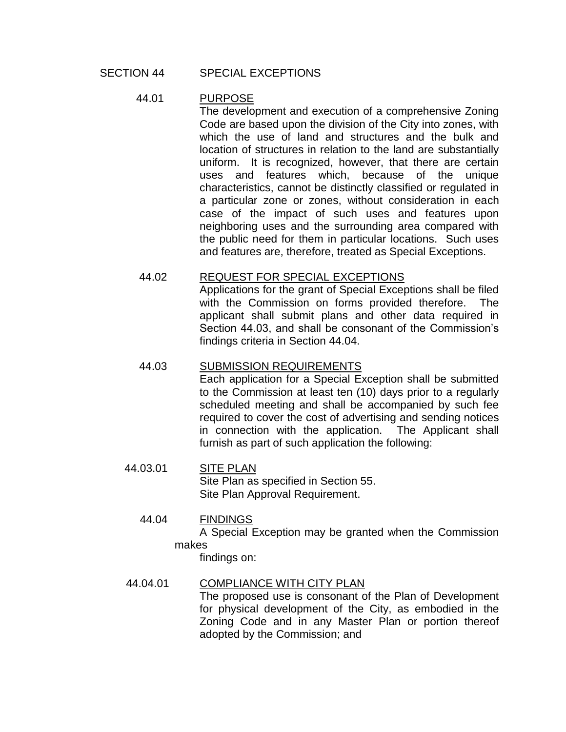#### SECTION 44 SPECIAL EXCEPTIONS

#### 44.01 PURPOSE

The development and execution of a comprehensive Zoning Code are based upon the division of the City into zones, with which the use of land and structures and the bulk and location of structures in relation to the land are substantially uniform. It is recognized, however, that there are certain uses and features which, because of the unique characteristics, cannot be distinctly classified or regulated in a particular zone or zones, without consideration in each case of the impact of such uses and features upon neighboring uses and the surrounding area compared with the public need for them in particular locations. Such uses and features are, therefore, treated as Special Exceptions.

#### 44.02 REQUEST FOR SPECIAL EXCEPTIONS

Applications for the grant of Special Exceptions shall be filed with the Commission on forms provided therefore. The applicant shall submit plans and other data required in Section 44.03, and shall be consonant of the Commission's findings criteria in Section 44.04.

#### 44.03 SUBMISSION REQUIREMENTS

Each application for a Special Exception shall be submitted to the Commission at least ten (10) days prior to a regularly scheduled meeting and shall be accompanied by such fee required to cover the cost of advertising and sending notices in connection with the application. The Applicant shall furnish as part of such application the following:

#### 44.03.01 SITE PLAN Site Plan as specified in Section 55. Site Plan Approval Requirement.

#### 44.04 FINDINGS

 A Special Exception may be granted when the Commission makes

findings on:

## 44.04.01 COMPLIANCE WITH CITY PLAN

The proposed use is consonant of the Plan of Development for physical development of the City, as embodied in the Zoning Code and in any Master Plan or portion thereof adopted by the Commission; and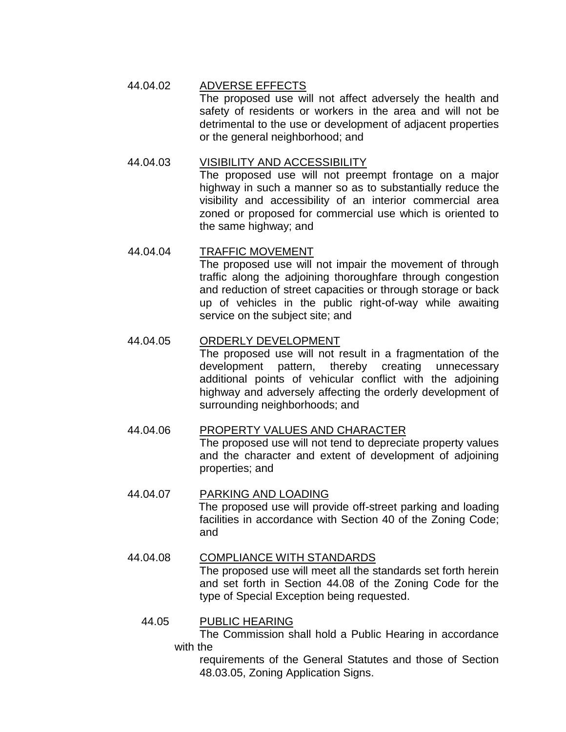## 44.04.02 ADVERSE EFFECTS

The proposed use will not affect adversely the health and safety of residents or workers in the area and will not be detrimental to the use or development of adjacent properties or the general neighborhood; and

## 44.04.03 VISIBILITY AND ACCESSIBILITY

The proposed use will not preempt frontage on a major highway in such a manner so as to substantially reduce the visibility and accessibility of an interior commercial area zoned or proposed for commercial use which is oriented to the same highway; and

## 44.04.04 TRAFFIC MOVEMENT

The proposed use will not impair the movement of through traffic along the adjoining thoroughfare through congestion and reduction of street capacities or through storage or back up of vehicles in the public right-of-way while awaiting service on the subject site; and

## 44.04.05 ORDERLY DEVELOPMENT

The proposed use will not result in a fragmentation of the development pattern, thereby creating unnecessary additional points of vehicular conflict with the adjoining highway and adversely affecting the orderly development of surrounding neighborhoods; and

#### 44.04.06 PROPERTY VALUES AND CHARACTER

 The proposed use will not tend to depreciate property values and the character and extent of development of adjoining properties; and

# 44.04.07 PARKING AND LOADING

 The proposed use will provide off-street parking and loading facilities in accordance with Section 40 of the Zoning Code; and

# 44.04.08 COMPLIANCE WITH STANDARDS

 The proposed use will meet all the standards set forth herein and set forth in Section 44.08 of the Zoning Code for the type of Special Exception being requested.

#### 44.05 PUBLIC HEARING

The Commission shall hold a Public Hearing in accordance with the

requirements of the General Statutes and those of Section 48.03.05, Zoning Application Signs.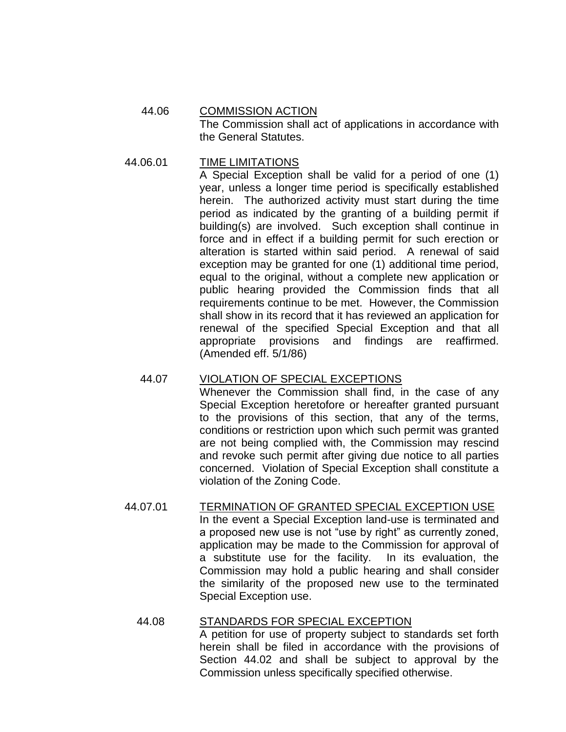#### 44.06 COMMISSION ACTION The Commission shall act of applications in accordance with the General Statutes.

#### 44.06.01 TIME LIMITATIONS

A Special Exception shall be valid for a period of one (1) year, unless a longer time period is specifically established herein. The authorized activity must start during the time period as indicated by the granting of a building permit if building(s) are involved. Such exception shall continue in force and in effect if a building permit for such erection or alteration is started within said period. A renewal of said exception may be granted for one (1) additional time period, equal to the original, without a complete new application or public hearing provided the Commission finds that all requirements continue to be met. However, the Commission shall show in its record that it has reviewed an application for renewal of the specified Special Exception and that all appropriate provisions and findings are reaffirmed. (Amended eff. 5/1/86)

## 44.07 VIOLATION OF SPECIAL EXCEPTIONS

Whenever the Commission shall find, in the case of any Special Exception heretofore or hereafter granted pursuant to the provisions of this section, that any of the terms, conditions or restriction upon which such permit was granted are not being complied with, the Commission may rescind and revoke such permit after giving due notice to all parties concerned. Violation of Special Exception shall constitute a violation of the Zoning Code.

#### 44.07.01 TERMINATION OF GRANTED SPECIAL EXCEPTION USE In the event a Special Exception land-use is terminated and a proposed new use is not "use by right" as currently zoned, application may be made to the Commission for approval of a substitute use for the facility. In its evaluation, the Commission may hold a public hearing and shall consider the similarity of the proposed new use to the terminated Special Exception use.

# 44.08 STANDARDS FOR SPECIAL EXCEPTION

A petition for use of property subject to standards set forth herein shall be filed in accordance with the provisions of Section 44.02 and shall be subject to approval by the Commission unless specifically specified otherwise.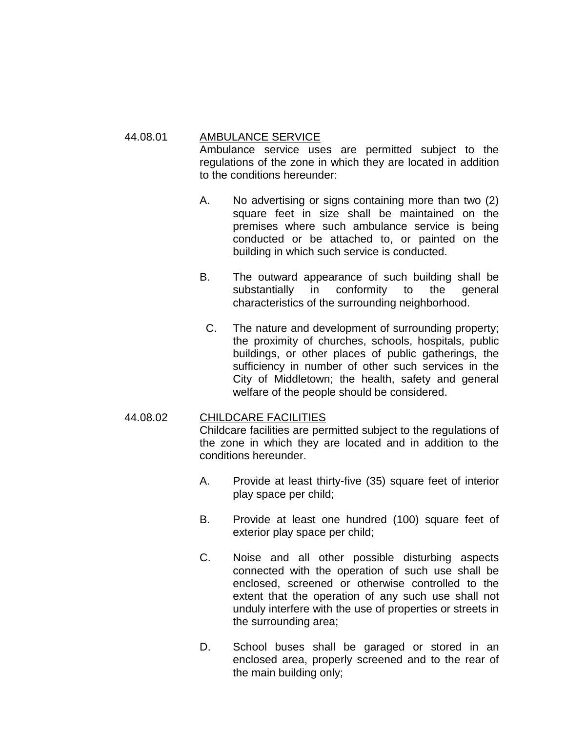#### 44.08.01 AMBULANCE SERVICE

Ambulance service uses are permitted subject to the regulations of the zone in which they are located in addition to the conditions hereunder:

- A. No advertising or signs containing more than two (2) square feet in size shall be maintained on the premises where such ambulance service is being conducted or be attached to, or painted on the building in which such service is conducted.
- B. The outward appearance of such building shall be substantially in conformity to the general characteristics of the surrounding neighborhood.
- C. The nature and development of surrounding property; the proximity of churches, schools, hospitals, public buildings, or other places of public gatherings, the sufficiency in number of other such services in the City of Middletown; the health, safety and general welfare of the people should be considered.

## 44.08.02 CHILDCARE FACILITIES

Childcare facilities are permitted subject to the regulations of the zone in which they are located and in addition to the conditions hereunder.

- A. Provide at least thirty-five (35) square feet of interior play space per child;
- B. Provide at least one hundred (100) square feet of exterior play space per child;
- C. Noise and all other possible disturbing aspects connected with the operation of such use shall be enclosed, screened or otherwise controlled to the extent that the operation of any such use shall not unduly interfere with the use of properties or streets in the surrounding area;
- D. School buses shall be garaged or stored in an enclosed area, properly screened and to the rear of the main building only;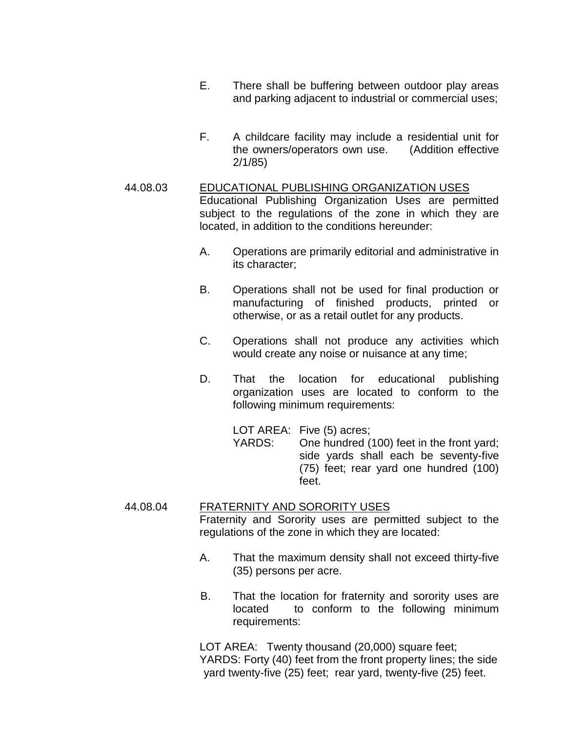- E. There shall be buffering between outdoor play areas and parking adjacent to industrial or commercial uses;
- F. A childcare facility may include a residential unit for the owners/operators own use. (Addition effective 2/1/85)

#### 44.08.03 EDUCATIONAL PUBLISHING ORGANIZATION USES Educational Publishing Organization Uses are permitted subject to the regulations of the zone in which they are located, in addition to the conditions hereunder:

- A. Operations are primarily editorial and administrative in its character;
- B. Operations shall not be used for final production or manufacturing of finished products, printed or otherwise, or as a retail outlet for any products.
- C. Operations shall not produce any activities which would create any noise or nuisance at any time;
- D. That the location for educational publishing organization uses are located to conform to the following minimum requirements:

 LOT AREA: Five (5) acres; YARDS: One hundred (100) feet in the front yard; side yards shall each be seventy-five (75) feet; rear yard one hundred (100) feet.

#### 44.08.04 FRATERNITY AND SORORITY USES

Fraternity and Sorority uses are permitted subject to the regulations of the zone in which they are located:

- A. That the maximum density shall not exceed thirty-five (35) persons per acre.
- B. That the location for fraternity and sorority uses are located to conform to the following minimum requirements:

LOT AREA: Twenty thousand (20,000) square feet; YARDS: Forty (40) feet from the front property lines; the side yard twenty-five (25) feet; rear yard, twenty-five (25) feet.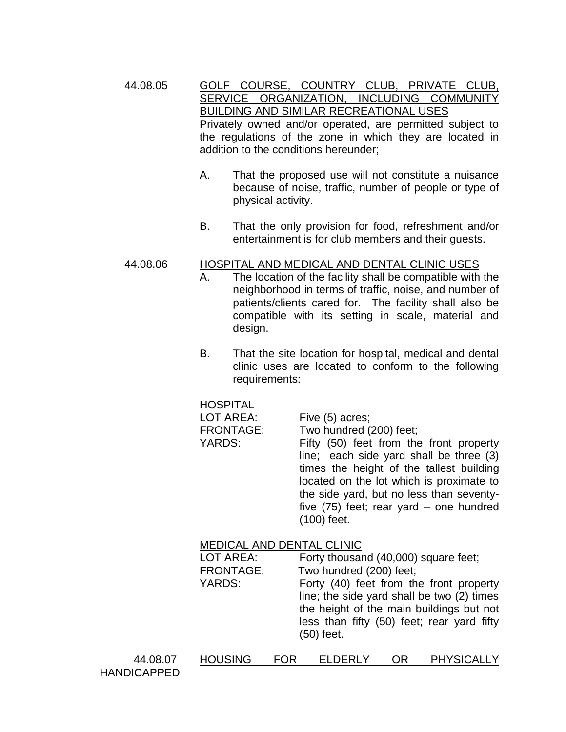44.08.05 GOLF COURSE, COUNTRY CLUB, PRIVATE CLUB, SERVICE ORGANIZATION, INCLUDING COMMUNITY BUILDING AND SIMILAR RECREATIONAL USES Privately owned and/or operated, are permitted subject to the regulations of the zone in which they are located in addition to the conditions hereunder;

- A. That the proposed use will not constitute a nuisance because of noise, traffic, number of people or type of physical activity.
- B. That the only provision for food, refreshment and/or entertainment is for club members and their guests.

#### 44.08.06 HOSPITAL AND MEDICAL AND DENTAL CLINIC USES

- A. The location of the facility shall be compatible with the neighborhood in terms of traffic, noise, and number of patients/clients cared for. The facility shall also be compatible with its setting in scale, material and design.
- B. That the site location for hospital, medical and dental clinic uses are located to conform to the following requirements:

#### **HOSPITAL**

| LOT AREA:        | Five (5) acres;                           |
|------------------|-------------------------------------------|
| <b>FRONTAGE:</b> | Two hundred (200) feet;                   |
| YARDS:           | Fifty (50) feet from the front property   |
|                  | line; each side yard shall be three (3)   |
|                  | times the height of the tallest building  |
|                  | located on the lot which is proximate to  |
|                  | the side yard, but no less than seventy-  |
|                  | five $(75)$ feet; rear yard – one hundred |
|                  | $(100)$ feet.                             |
|                  |                                           |

#### MEDICAL AND DENTAL CLINIC

LOT AREA: Forty thousand (40,000) square feet;

FRONTAGE: Two hundred (200) feet;

YARDS: Forty (40) feet from the front property line; the side yard shall be two (2) times the height of the main buildings but not less than fifty (50) feet; rear yard fifty (50) feet.

| 44.08.07           |  |
|--------------------|--|
| <b>HANDICAPPED</b> |  |

| <b>PHYSICALLY</b><br><b>HOUSING</b><br><b>FOR</b><br>OR<br><b>ELDERLY</b><br>44.08.07 |  |
|---------------------------------------------------------------------------------------|--|
|---------------------------------------------------------------------------------------|--|

HANDICAPPED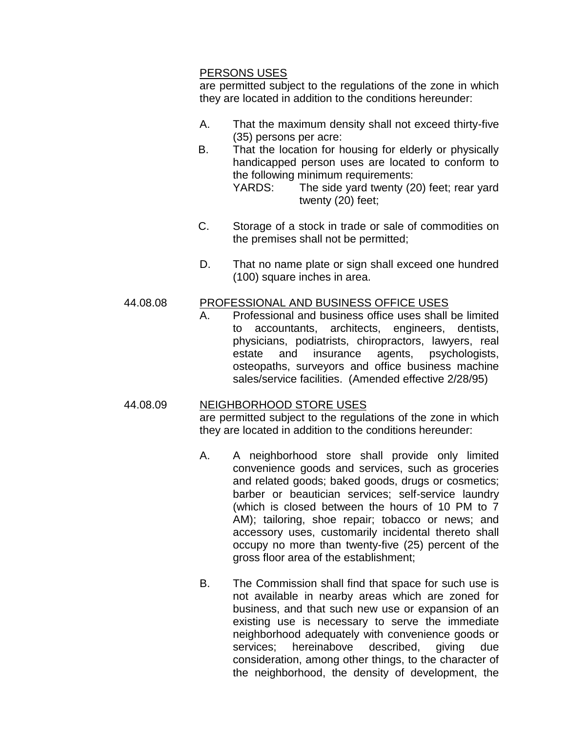#### PERSONS USES

are permitted subject to the regulations of the zone in which they are located in addition to the conditions hereunder:

- A. That the maximum density shall not exceed thirty-five (35) persons per acre:
- B. That the location for housing for elderly or physically handicapped person uses are located to conform to the following minimum requirements: YARDS: The side yard twenty (20) feet; rear yard twenty (20) feet;
- C. Storage of a stock in trade or sale of commodities on the premises shall not be permitted;
- D. That no name plate or sign shall exceed one hundred (100) square inches in area.

## 44.08.08 PROFESSIONAL AND BUSINESS OFFICE USES

A. Professional and business office uses shall be limited to accountants, architects, engineers, dentists, physicians, podiatrists, chiropractors, lawyers, real estate and insurance agents, psychologists, osteopaths, surveyors and office business machine sales/service facilities. (Amended effective 2/28/95)

# 44.08.09 NEIGHBORHOOD STORE USES

are permitted subject to the regulations of the zone in which they are located in addition to the conditions hereunder:

- A. A neighborhood store shall provide only limited convenience goods and services, such as groceries and related goods; baked goods, drugs or cosmetics; barber or beautician services; self-service laundry (which is closed between the hours of 10 PM to 7 AM); tailoring, shoe repair; tobacco or news; and accessory uses, customarily incidental thereto shall occupy no more than twenty-five (25) percent of the gross floor area of the establishment;
- B. The Commission shall find that space for such use is not available in nearby areas which are zoned for business, and that such new use or expansion of an existing use is necessary to serve the immediate neighborhood adequately with convenience goods or services; hereinabove described, giving due consideration, among other things, to the character of the neighborhood, the density of development, the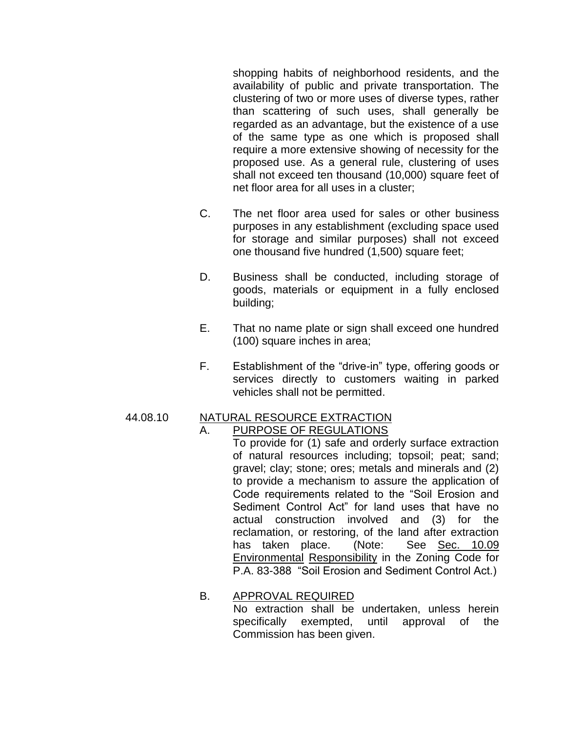shopping habits of neighborhood residents, and the availability of public and private transportation. The clustering of two or more uses of diverse types, rather than scattering of such uses, shall generally be regarded as an advantage, but the existence of a use of the same type as one which is proposed shall require a more extensive showing of necessity for the proposed use. As a general rule, clustering of uses shall not exceed ten thousand (10,000) square feet of net floor area for all uses in a cluster;

- C. The net floor area used for sales or other business purposes in any establishment (excluding space used for storage and similar purposes) shall not exceed one thousand five hundred (1,500) square feet;
- D. Business shall be conducted, including storage of goods, materials or equipment in a fully enclosed building;
- E. That no name plate or sign shall exceed one hundred (100) square inches in area;
- F. Establishment of the "drive-in" type, offering goods or services directly to customers waiting in parked vehicles shall not be permitted.

#### 44.08.10 NATURAL RESOURCE EXTRACTION A. PURPOSE OF REGULATIONS

To provide for (1) safe and orderly surface extraction of natural resources including; topsoil; peat; sand; gravel; clay; stone; ores; metals and minerals and (2) to provide a mechanism to assure the application of Code requirements related to the "Soil Erosion and Sediment Control Act" for land uses that have no actual construction involved and (3) for the reclamation, or restoring, of the land after extraction has taken place. (Note: See Sec. 10.09 Environmental Responsibility in the Zoning Code for P.A. 83-388 "Soil Erosion and Sediment Control Act.)

## B. APPROVAL REQUIRED

 No extraction shall be undertaken, unless herein specifically exempted, until approval of the Commission has been given.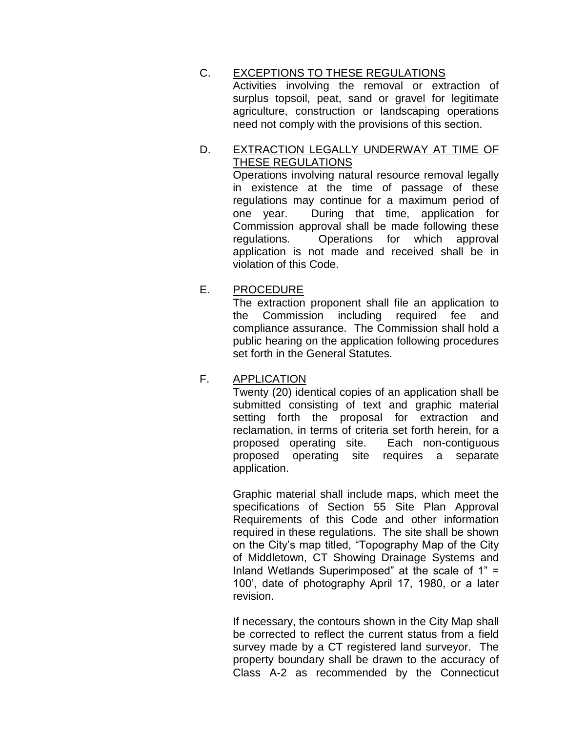C. EXCEPTIONS TO THESE REGULATIONS Activities involving the removal or extraction of surplus topsoil, peat, sand or gravel for legitimate agriculture, construction or landscaping operations need not comply with the provisions of this section.

# D. EXTRACTION LEGALLY UNDERWAY AT TIME OF THESE REGULATIONS

Operations involving natural resource removal legally in existence at the time of passage of these regulations may continue for a maximum period of one year. During that time, application for Commission approval shall be made following these regulations. Operations for which approval application is not made and received shall be in violation of this Code.

# E. PROCEDURE

The extraction proponent shall file an application to the Commission including required fee and compliance assurance. The Commission shall hold a public hearing on the application following procedures set forth in the General Statutes.

## F. APPLICATION

Twenty (20) identical copies of an application shall be submitted consisting of text and graphic material setting forth the proposal for extraction and reclamation, in terms of criteria set forth herein, for a proposed operating site. Each non-contiguous proposed operating site requires a separate application.

Graphic material shall include maps, which meet the specifications of Section 55 Site Plan Approval Requirements of this Code and other information required in these regulations. The site shall be shown on the City's map titled, "Topography Map of the City of Middletown, CT Showing Drainage Systems and Inland Wetlands Superimposed" at the scale of 1" = 100', date of photography April 17, 1980, or a later revision.

If necessary, the contours shown in the City Map shall be corrected to reflect the current status from a field survey made by a CT registered land surveyor. The property boundary shall be drawn to the accuracy of Class A-2 as recommended by the Connecticut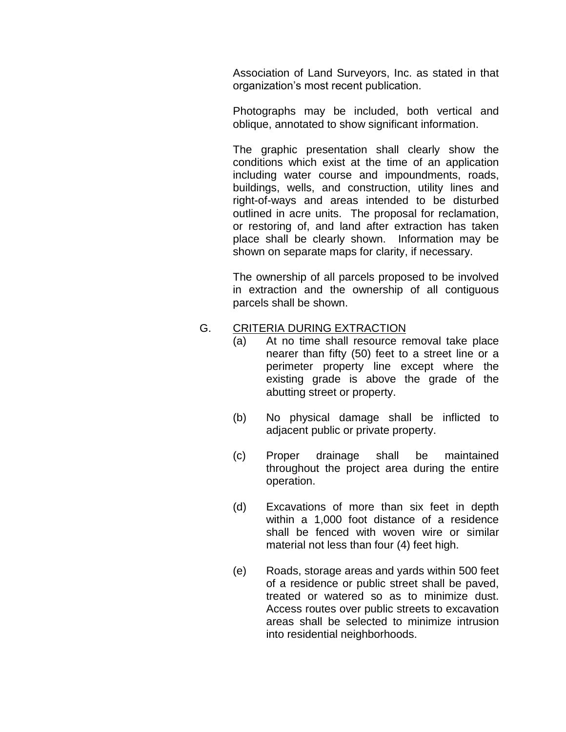Association of Land Surveyors, Inc. as stated in that organization's most recent publication.

Photographs may be included, both vertical and oblique, annotated to show significant information.

The graphic presentation shall clearly show the conditions which exist at the time of an application including water course and impoundments, roads, buildings, wells, and construction, utility lines and right-of-ways and areas intended to be disturbed outlined in acre units. The proposal for reclamation, or restoring of, and land after extraction has taken place shall be clearly shown. Information may be shown on separate maps for clarity, if necessary.

The ownership of all parcels proposed to be involved in extraction and the ownership of all contiguous parcels shall be shown.

## G. CRITERIA DURING EXTRACTION

- (a) At no time shall resource removal take place nearer than fifty (50) feet to a street line or a perimeter property line except where the existing grade is above the grade of the abutting street or property.
- (b) No physical damage shall be inflicted to adjacent public or private property.
- (c) Proper drainage shall be maintained throughout the project area during the entire operation.
- (d) Excavations of more than six feet in depth within a 1,000 foot distance of a residence shall be fenced with woven wire or similar material not less than four (4) feet high.
- (e) Roads, storage areas and yards within 500 feet of a residence or public street shall be paved, treated or watered so as to minimize dust. Access routes over public streets to excavation areas shall be selected to minimize intrusion into residential neighborhoods.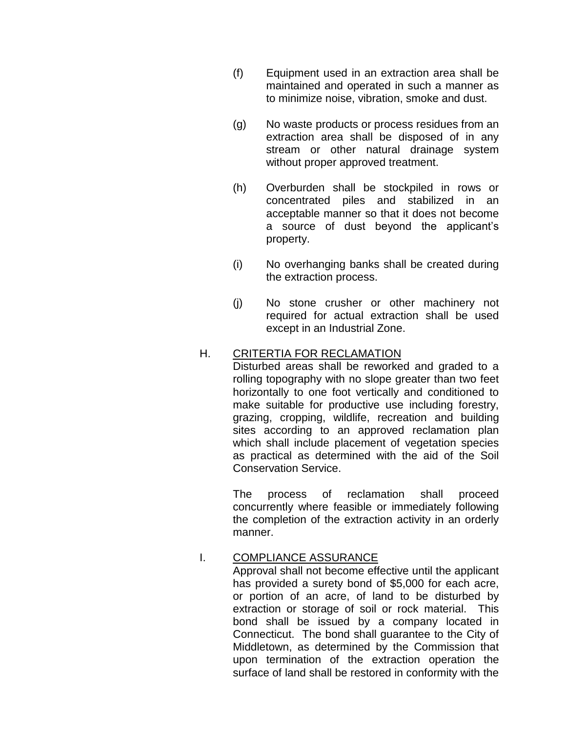- (f) Equipment used in an extraction area shall be maintained and operated in such a manner as to minimize noise, vibration, smoke and dust.
- (g) No waste products or process residues from an extraction area shall be disposed of in any stream or other natural drainage system without proper approved treatment.
- (h) Overburden shall be stockpiled in rows or concentrated piles and stabilized in an acceptable manner so that it does not become a source of dust beyond the applicant's property.
- (i) No overhanging banks shall be created during the extraction process.
- (j) No stone crusher or other machinery not required for actual extraction shall be used except in an Industrial Zone.

# H. CRITERTIA FOR RECLAMATION

Disturbed areas shall be reworked and graded to a rolling topography with no slope greater than two feet horizontally to one foot vertically and conditioned to make suitable for productive use including forestry, grazing, cropping, wildlife, recreation and building sites according to an approved reclamation plan which shall include placement of vegetation species as practical as determined with the aid of the Soil Conservation Service.

 The process of reclamation shall proceed concurrently where feasible or immediately following the completion of the extraction activity in an orderly manner.

## I. COMPLIANCE ASSURANCE

Approval shall not become effective until the applicant has provided a surety bond of \$5,000 for each acre, or portion of an acre, of land to be disturbed by extraction or storage of soil or rock material. This bond shall be issued by a company located in Connecticut. The bond shall guarantee to the City of Middletown, as determined by the Commission that upon termination of the extraction operation the surface of land shall be restored in conformity with the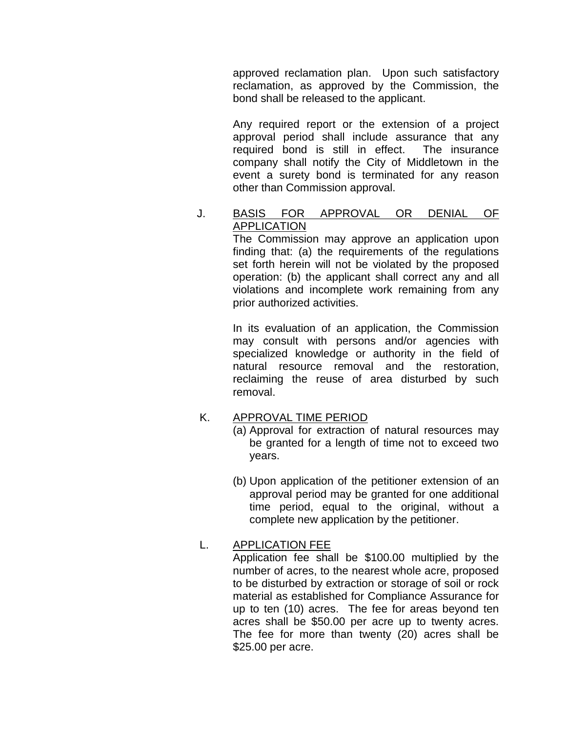approved reclamation plan. Upon such satisfactory reclamation, as approved by the Commission, the bond shall be released to the applicant.

 Any required report or the extension of a project approval period shall include assurance that any required bond is still in effect. The insurance company shall notify the City of Middletown in the event a surety bond is terminated for any reason other than Commission approval.

## J. BASIS FOR APPROVAL OR DENIAL OF APPLICATION

The Commission may approve an application upon finding that: (a) the requirements of the regulations set forth herein will not be violated by the proposed operation: (b) the applicant shall correct any and all violations and incomplete work remaining from any prior authorized activities.

 In its evaluation of an application, the Commission may consult with persons and/or agencies with specialized knowledge or authority in the field of natural resource removal and the restoration, reclaiming the reuse of area disturbed by such removal.

#### K. APPROVAL TIME PERIOD

- (a) Approval for extraction of natural resources may be granted for a length of time not to exceed two years.
- (b) Upon application of the petitioner extension of an approval period may be granted for one additional time period, equal to the original, without a complete new application by the petitioner.

# L. APPLICATION FEE

Application fee shall be \$100.00 multiplied by the number of acres, to the nearest whole acre, proposed to be disturbed by extraction or storage of soil or rock material as established for Compliance Assurance for up to ten (10) acres. The fee for areas beyond ten acres shall be \$50.00 per acre up to twenty acres. The fee for more than twenty (20) acres shall be \$25.00 per acre.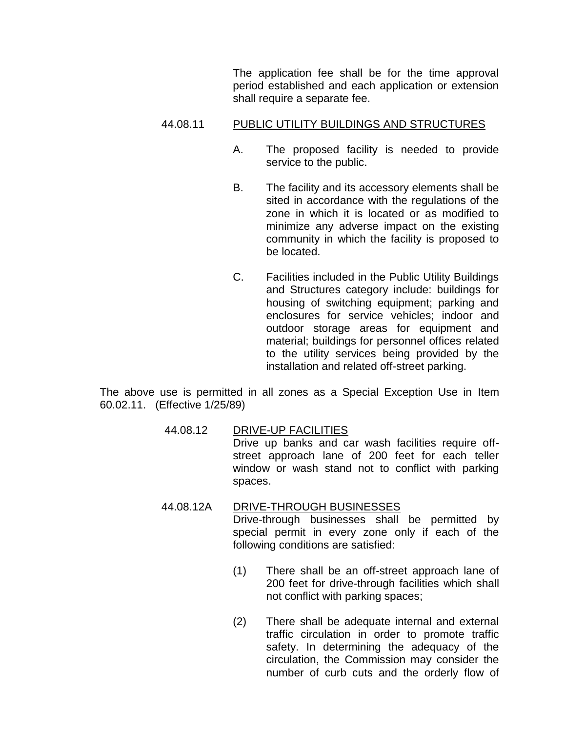The application fee shall be for the time approval period established and each application or extension shall require a separate fee.

#### 44.08.11 PUBLIC UTILITY BUILDINGS AND STRUCTURES

- A. The proposed facility is needed to provide service to the public.
- B. The facility and its accessory elements shall be sited in accordance with the regulations of the zone in which it is located or as modified to minimize any adverse impact on the existing community in which the facility is proposed to be located.
- C. Facilities included in the Public Utility Buildings and Structures category include: buildings for housing of switching equipment; parking and enclosures for service vehicles; indoor and outdoor storage areas for equipment and material; buildings for personnel offices related to the utility services being provided by the installation and related off-street parking.

The above use is permitted in all zones as a Special Exception Use in Item 60.02.11. (Effective 1/25/89)

- 44.08.12 DRIVE-UP FACILITIES Drive up banks and car wash facilities require offstreet approach lane of 200 feet for each teller window or wash stand not to conflict with parking spaces.
- 44.08.12A DRIVE-THROUGH BUSINESSES Drive-through businesses shall be permitted by special permit in every zone only if each of the following conditions are satisfied:
	- (1) There shall be an off-street approach lane of 200 feet for drive-through facilities which shall not conflict with parking spaces;
	- (2) There shall be adequate internal and external traffic circulation in order to promote traffic safety. In determining the adequacy of the circulation, the Commission may consider the number of curb cuts and the orderly flow of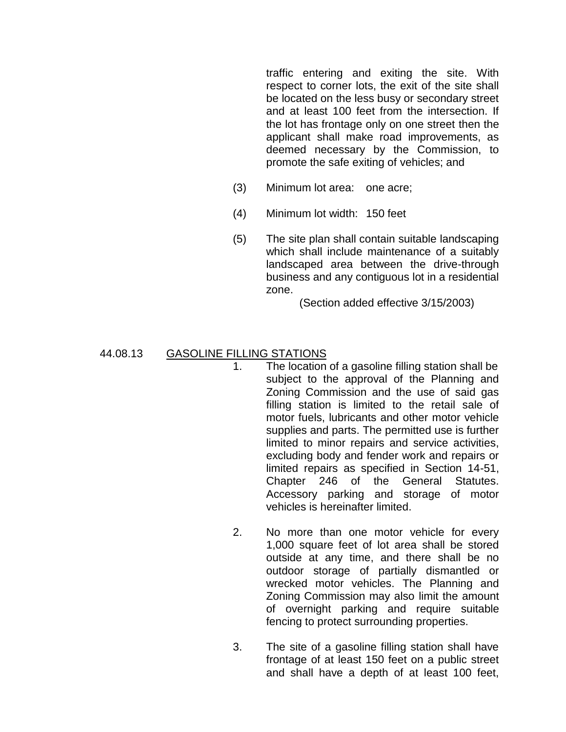traffic entering and exiting the site. With respect to corner lots, the exit of the site shall be located on the less busy or secondary street and at least 100 feet from the intersection. If the lot has frontage only on one street then the applicant shall make road improvements, as deemed necessary by the Commission, to promote the safe exiting of vehicles; and

- (3) Minimum lot area: one acre;
- (4) Minimum lot width: 150 feet
- (5) The site plan shall contain suitable landscaping which shall include maintenance of a suitably landscaped area between the drive-through business and any contiguous lot in a residential zone.

(Section added effective 3/15/2003)

#### 44.08.13 GASOLINE FILLING STATIONS

- 1. The location of a gasoline filling station shall be subject to the approval of the Planning and Zoning Commission and the use of said gas filling station is limited to the retail sale of motor fuels, lubricants and other motor vehicle supplies and parts. The permitted use is further limited to minor repairs and service activities, excluding body and fender work and repairs or limited repairs as specified in Section 14-51, Chapter 246 of the General Statutes. Accessory parking and storage of motor vehicles is hereinafter limited.
- 2. No more than one motor vehicle for every 1,000 square feet of lot area shall be stored outside at any time, and there shall be no outdoor storage of partially dismantled or wrecked motor vehicles. The Planning and Zoning Commission may also limit the amount of overnight parking and require suitable fencing to protect surrounding properties.
- 3. The site of a gasoline filling station shall have frontage of at least 150 feet on a public street and shall have a depth of at least 100 feet,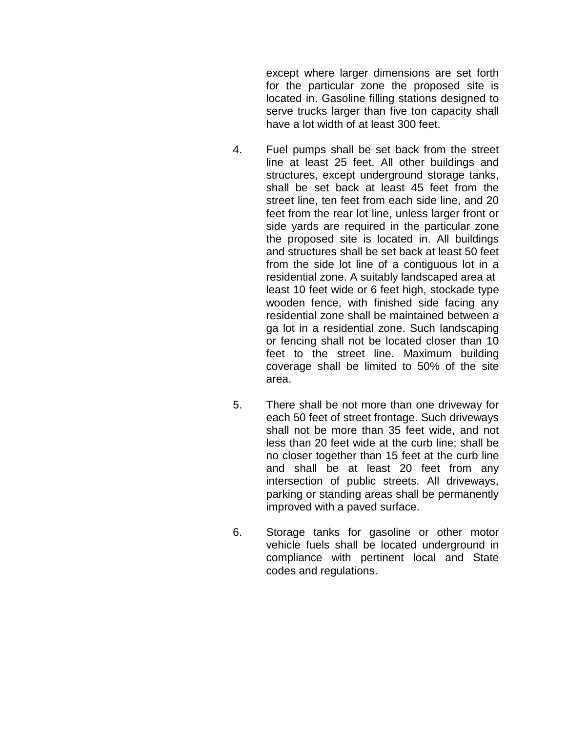except where larger dimensions are set forth for the particular zone the proposed site is located in. Gasoline filling stations designed to serve trucks larger than five ton capacity shall have a lot width of at least 300 feet.

- 4. Fuel pumps shall be set back from the street line at least 25 feet. All other buildings and structures, except underground storage tanks, shall be set back at least 45 feet from the street line, ten feet from each side line, and 20 feet from the rear lot line, unless larger front or side yards are required in the particular zone the proposed site is located in. All buildings and structures shall be set back at least 50 feet from the side lot line of a contiguous lot in a residential zone. A suitably landscaped area at least 10 feet wide or 6 feet high, stockade type wooden fence, with finished side facing any residential zone shall be maintained between a ga lot in a residential zone. Such landscaping or fencing shall not be located closer than 10 feet to the street line. Maximum building coverage shall be limited to 50% of the site area.
- 5. There shall be not more than one driveway for each 50 feet of street frontage. Such driveways shall not be more than 35 feet wide, and not less than 20 feet wide at the curb line; shall be no closer together than 15 feet at the curb line and shall be at least 20 feet from any intersection of public streets. All driveways, parking or standing areas shall be permanently improved with a paved surface.
- 6. Storage tanks for gasoline or other motor vehicle fuels shall be located underground in compliance with pertinent local and State codes and regulations.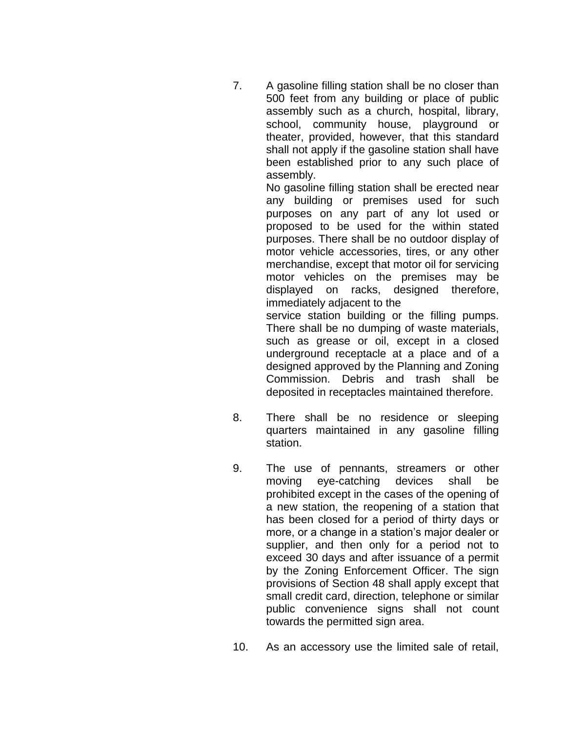7. A gasoline filling station shall be no closer than 500 feet from any building or place of public assembly such as a church, hospital, library, school, community house, playground or theater, provided, however, that this standard shall not apply if the gasoline station shall have been established prior to any such place of assembly.

> No gasoline filling station shall be erected near any building or premises used for such purposes on any part of any lot used or proposed to be used for the within stated purposes. There shall be no outdoor display of motor vehicle accessories, tires, or any other merchandise, except that motor oil for servicing motor vehicles on the premises may be displayed on racks, designed therefore, immediately adjacent to the

> service station building or the filling pumps. There shall be no dumping of waste materials, such as grease or oil, except in a closed underground receptacle at a place and of a designed approved by the Planning and Zoning Commission. Debris and trash shall be deposited in receptacles maintained therefore.

- 8. There shall be no residence or sleeping quarters maintained in any gasoline filling station.
- 9. The use of pennants, streamers or other moving eye-catching devices shall be prohibited except in the cases of the opening of a new station, the reopening of a station that has been closed for a period of thirty days or more, or a change in a station's major dealer or supplier, and then only for a period not to exceed 30 days and after issuance of a permit by the Zoning Enforcement Officer. The sign provisions of Section 48 shall apply except that small credit card, direction, telephone or similar public convenience signs shall not count towards the permitted sign area.
- 10. As an accessory use the limited sale of retail,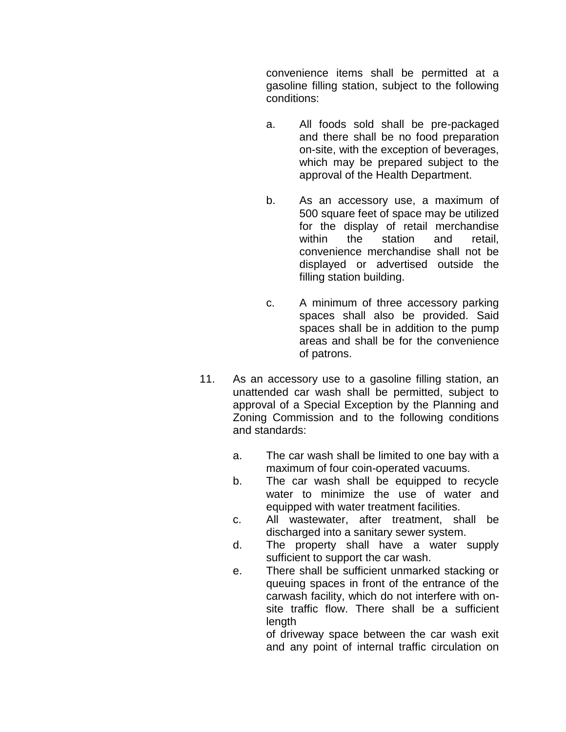convenience items shall be permitted at a gasoline filling station, subject to the following conditions:

- a. All foods sold shall be pre-packaged and there shall be no food preparation on-site, with the exception of beverages, which may be prepared subject to the approval of the Health Department.
- b. As an accessory use, a maximum of 500 square feet of space may be utilized for the display of retail merchandise within the station and retail. convenience merchandise shall not be displayed or advertised outside the filling station building.
- c. A minimum of three accessory parking spaces shall also be provided. Said spaces shall be in addition to the pump areas and shall be for the convenience of patrons.
- 11. As an accessory use to a gasoline filling station, an unattended car wash shall be permitted, subject to approval of a Special Exception by the Planning and Zoning Commission and to the following conditions and standards:
	- a. The car wash shall be limited to one bay with a maximum of four coin-operated vacuums.
	- b. The car wash shall be equipped to recycle water to minimize the use of water and equipped with water treatment facilities.
	- c. All wastewater, after treatment, shall be discharged into a sanitary sewer system.
	- d. The property shall have a water supply sufficient to support the car wash.
	- e. There shall be sufficient unmarked stacking or queuing spaces in front of the entrance of the carwash facility, which do not interfere with onsite traffic flow. There shall be a sufficient length

of driveway space between the car wash exit and any point of internal traffic circulation on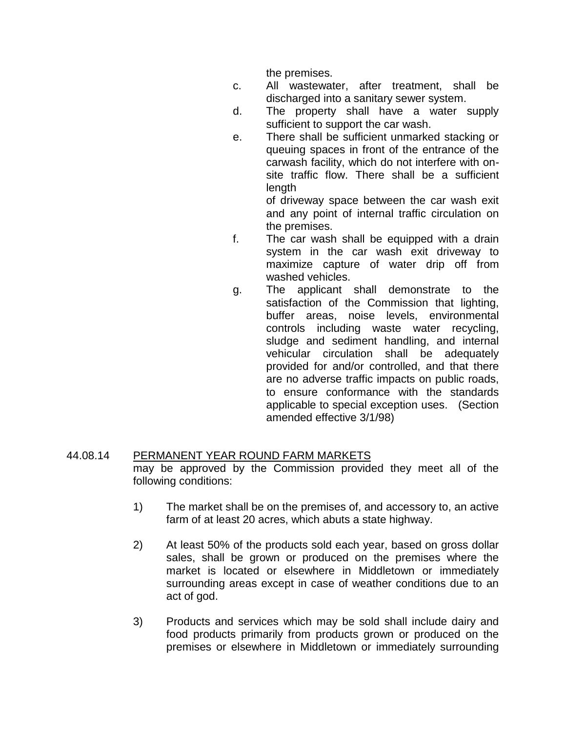the premises.

- c. All wastewater, after treatment, shall be discharged into a sanitary sewer system.
- d. The property shall have a water supply sufficient to support the car wash.
- e. There shall be sufficient unmarked stacking or queuing spaces in front of the entrance of the carwash facility, which do not interfere with onsite traffic flow. There shall be a sufficient length

of driveway space between the car wash exit and any point of internal traffic circulation on the premises.

- f. The car wash shall be equipped with a drain system in the car wash exit driveway to maximize capture of water drip off from washed vehicles.
- g. The applicant shall demonstrate to the satisfaction of the Commission that lighting, buffer areas, noise levels, environmental controls including waste water recycling, sludge and sediment handling, and internal vehicular circulation shall be adequately provided for and/or controlled, and that there are no adverse traffic impacts on public roads, to ensure conformance with the standards applicable to special exception uses. (Section amended effective 3/1/98)

## 44.08.14 PERMANENT YEAR ROUND FARM MARKETS may be approved by the Commission provided they meet all of the following conditions:

- 1) The market shall be on the premises of, and accessory to, an active farm of at least 20 acres, which abuts a state highway.
- 2) At least 50% of the products sold each year, based on gross dollar sales, shall be grown or produced on the premises where the market is located or elsewhere in Middletown or immediately surrounding areas except in case of weather conditions due to an act of god.
- 3) Products and services which may be sold shall include dairy and food products primarily from products grown or produced on the premises or elsewhere in Middletown or immediately surrounding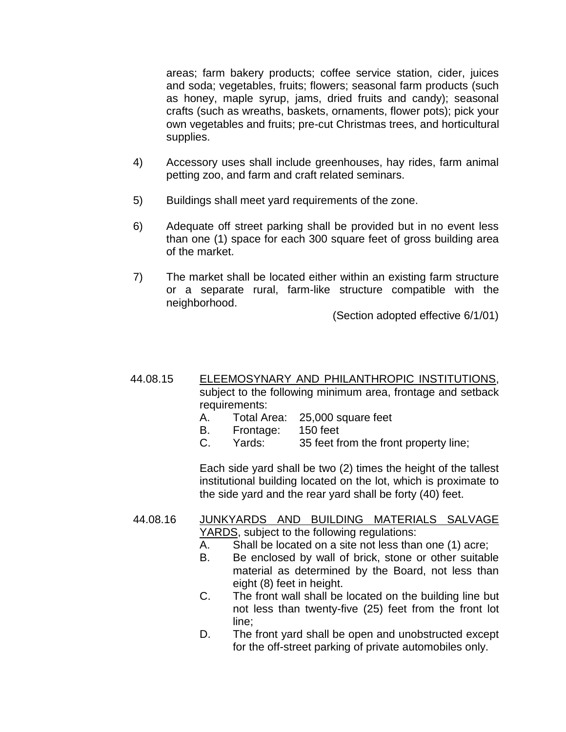areas; farm bakery products; coffee service station, cider, juices and soda; vegetables, fruits; flowers; seasonal farm products (such as honey, maple syrup, jams, dried fruits and candy); seasonal crafts (such as wreaths, baskets, ornaments, flower pots); pick your own vegetables and fruits; pre-cut Christmas trees, and horticultural supplies.

- 4) Accessory uses shall include greenhouses, hay rides, farm animal petting zoo, and farm and craft related seminars.
- 5) Buildings shall meet yard requirements of the zone.
- 6) Adequate off street parking shall be provided but in no event less than one (1) space for each 300 square feet of gross building area of the market.
- 7) The market shall be located either within an existing farm structure or a separate rural, farm-like structure compatible with the neighborhood.

(Section adopted effective 6/1/01)

#### 44.08.15 ELEEMOSYNARY AND PHILANTHROPIC INSTITUTIONS, subject to the following minimum area, frontage and setback requirements:

- A. Total Area: 25,000 square feet
- B. Frontage: 150 feet
- C. Yards: 35 feet from the front property line;

Each side yard shall be two (2) times the height of the tallest institutional building located on the lot, which is proximate to the side yard and the rear yard shall be forty (40) feet.

#### 44.08.16 JUNKYARDS AND BUILDING MATERIALS SALVAGE YARDS, subject to the following regulations:

- A. Shall be located on a site not less than one (1) acre;
- B. Be enclosed by wall of brick, stone or other suitable material as determined by the Board, not less than eight (8) feet in height.
- C. The front wall shall be located on the building line but not less than twenty-five (25) feet from the front lot line;
- D. The front yard shall be open and unobstructed except for the off-street parking of private automobiles only.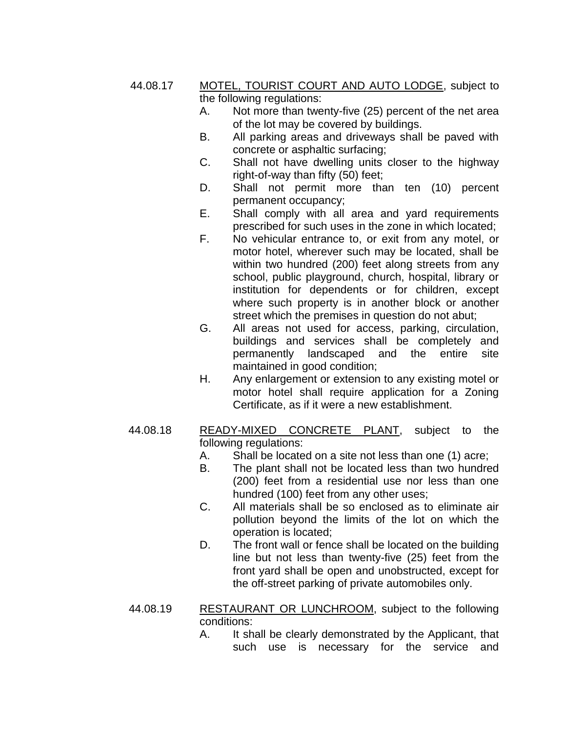44.08.17 MOTEL, TOURIST COURT AND AUTO LODGE, subject to the following regulations:

- A. Not more than twenty-five (25) percent of the net area of the lot may be covered by buildings.
- B. All parking areas and driveways shall be paved with concrete or asphaltic surfacing;
- C. Shall not have dwelling units closer to the highway right-of-way than fifty (50) feet;
- D. Shall not permit more than ten (10) percent permanent occupancy;
- E. Shall comply with all area and yard requirements prescribed for such uses in the zone in which located;
- F. No vehicular entrance to, or exit from any motel, or motor hotel, wherever such may be located, shall be within two hundred (200) feet along streets from any school, public playground, church, hospital, library or institution for dependents or for children, except where such property is in another block or another street which the premises in question do not abut;
- G. All areas not used for access, parking, circulation, buildings and services shall be completely and permanently landscaped and the entire site maintained in good condition;
- H. Any enlargement or extension to any existing motel or motor hotel shall require application for a Zoning Certificate, as if it were a new establishment.
- 44.08.18 READY-MIXED CONCRETE PLANT, subject to the following regulations:
	- A. Shall be located on a site not less than one (1) acre;
	- B. The plant shall not be located less than two hundred (200) feet from a residential use nor less than one hundred (100) feet from any other uses;
	- C. All materials shall be so enclosed as to eliminate air pollution beyond the limits of the lot on which the operation is located;
	- D. The front wall or fence shall be located on the building line but not less than twenty-five (25) feet from the front yard shall be open and unobstructed, except for the off-street parking of private automobiles only.
- 44.08.19 RESTAURANT OR LUNCHROOM, subject to the following conditions:
	- A. It shall be clearly demonstrated by the Applicant, that such use is necessary for the service and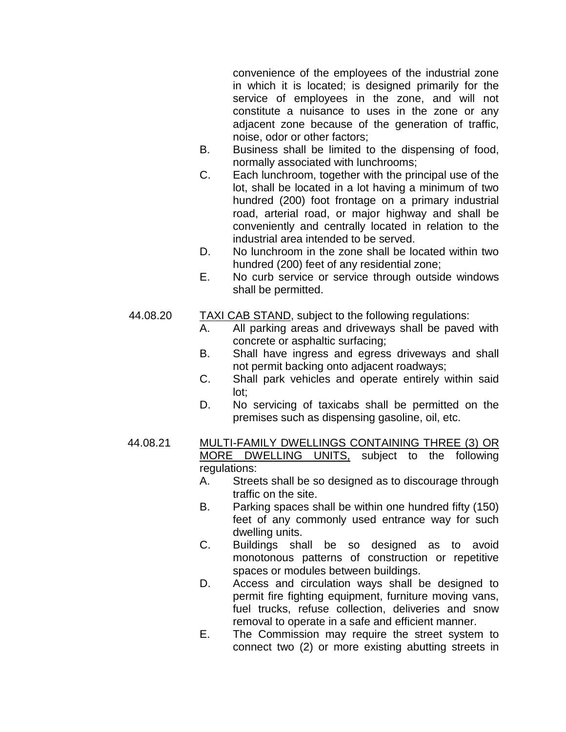convenience of the employees of the industrial zone in which it is located; is designed primarily for the service of employees in the zone, and will not constitute a nuisance to uses in the zone or any adjacent zone because of the generation of traffic, noise, odor or other factors;

- B. Business shall be limited to the dispensing of food, normally associated with lunchrooms;
- C. Each lunchroom, together with the principal use of the lot, shall be located in a lot having a minimum of two hundred (200) foot frontage on a primary industrial road, arterial road, or major highway and shall be conveniently and centrally located in relation to the industrial area intended to be served.
- D. No lunchroom in the zone shall be located within two hundred (200) feet of any residential zone;
- E. No curb service or service through outside windows shall be permitted.

#### 44.08.20 TAXI CAB STAND, subject to the following regulations:

- A. All parking areas and driveways shall be paved with concrete or asphaltic surfacing;
- B. Shall have ingress and egress driveways and shall not permit backing onto adjacent roadways;
- C. Shall park vehicles and operate entirely within said lot;
- D. No servicing of taxicabs shall be permitted on the premises such as dispensing gasoline, oil, etc.

#### 44.08.21 MULTI-FAMILY DWELLINGS CONTAINING THREE (3) OR MORE DWELLING UNITS, subject to the following regulations:

- A. Streets shall be so designed as to discourage through traffic on the site.
- B. Parking spaces shall be within one hundred fifty (150) feet of any commonly used entrance way for such dwelling units.
- C. Buildings shall be so designed as to avoid monotonous patterns of construction or repetitive spaces or modules between buildings.
- D. Access and circulation ways shall be designed to permit fire fighting equipment, furniture moving vans, fuel trucks, refuse collection, deliveries and snow removal to operate in a safe and efficient manner.
- E. The Commission may require the street system to connect two (2) or more existing abutting streets in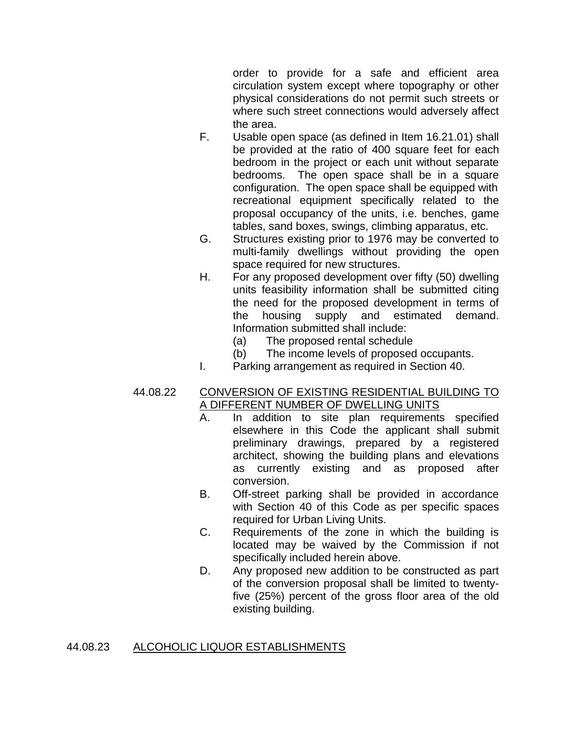order to provide for a safe and efficient area circulation system except where topography or other physical considerations do not permit such streets or where such street connections would adversely affect the area.

- F. Usable open space (as defined in Item 16.21.01) shall be provided at the ratio of 400 square feet for each bedroom in the project or each unit without separate bedrooms. The open space shall be in a square configuration. The open space shall be equipped with recreational equipment specifically related to the proposal occupancy of the units, i.e. benches, game tables, sand boxes, swings, climbing apparatus, etc.
- G. Structures existing prior to 1976 may be converted to multi-family dwellings without providing the open space required for new structures.
- H. For any proposed development over fifty (50) dwelling units feasibility information shall be submitted citing the need for the proposed development in terms of the housing supply and estimated demand. Information submitted shall include:
	- (a) The proposed rental schedule
	- (b) The income levels of proposed occupants.
- I. Parking arrangement as required in Section 40.

#### 44.08.22 CONVERSION OF EXISTING RESIDENTIAL BUILDING TO A DIFFERENT NUMBER OF DWELLING UNITS

- A. In addition to site plan requirements specified elsewhere in this Code the applicant shall submit preliminary drawings, prepared by a registered architect, showing the building plans and elevations as currently existing and as proposed after conversion.
- B. Off-street parking shall be provided in accordance with Section 40 of this Code as per specific spaces required for Urban Living Units.
- C. Requirements of the zone in which the building is located may be waived by the Commission if not specifically included herein above.
- D. Any proposed new addition to be constructed as part of the conversion proposal shall be limited to twentyfive (25%) percent of the gross floor area of the old existing building.

## 44.08.23 ALCOHOLIC LIQUOR ESTABLISHMENTS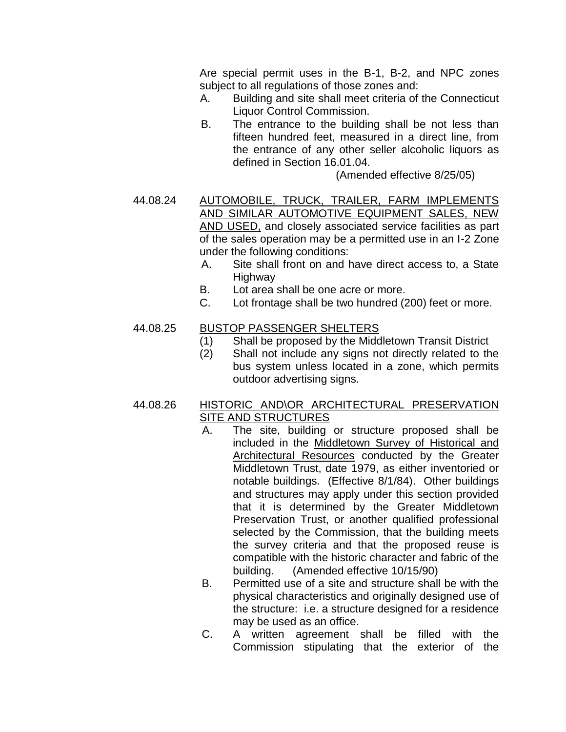Are special permit uses in the B-1, B-2, and NPC zones subject to all regulations of those zones and:

- A. Building and site shall meet criteria of the Connecticut Liquor Control Commission.
- B. The entrance to the building shall be not less than fifteen hundred feet, measured in a direct line, from the entrance of any other seller alcoholic liquors as defined in Section 16.01.04.

(Amended effective 8/25/05)

- 44.08.24 AUTOMOBILE, TRUCK, TRAILER, FARM IMPLEMENTS AND SIMILAR AUTOMOTIVE EQUIPMENT SALES, NEW AND USED, and closely associated service facilities as part of the sales operation may be a permitted use in an I-2 Zone under the following conditions:
	- A. Site shall front on and have direct access to, a State Highway
	- B. Lot area shall be one acre or more.
	- C. Lot frontage shall be two hundred (200) feet or more.

## 44.08.25 BUSTOP PASSENGER SHELTERS

- (1) Shall be proposed by the Middletown Transit District
- (2) Shall not include any signs not directly related to the bus system unless located in a zone, which permits outdoor advertising signs.

### 44.08.26 HISTORIC AND\OR ARCHITECTURAL PRESERVATION SITE AND STRUCTURES

- A. The site, building or structure proposed shall be included in the Middletown Survey of Historical and Architectural Resources conducted by the Greater Middletown Trust, date 1979, as either inventoried or notable buildings. (Effective 8/1/84). Other buildings and structures may apply under this section provided that it is determined by the Greater Middletown Preservation Trust, or another qualified professional selected by the Commission, that the building meets the survey criteria and that the proposed reuse is compatible with the historic character and fabric of the building. (Amended effective 10/15/90)
- B. Permitted use of a site and structure shall be with the physical characteristics and originally designed use of the structure: i.e. a structure designed for a residence may be used as an office.
- C. A written agreement shall be filled with the Commission stipulating that the exterior of the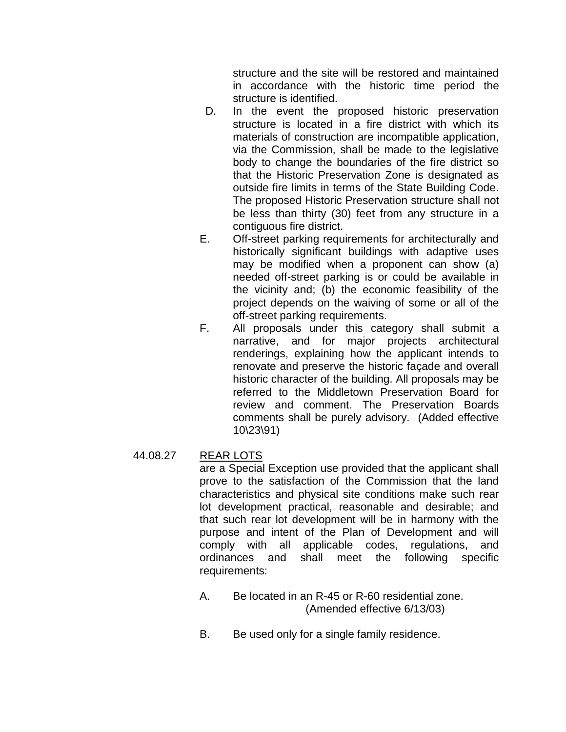structure and the site will be restored and maintained in accordance with the historic time period the structure is identified.

- D. In the event the proposed historic preservation structure is located in a fire district with which its materials of construction are incompatible application, via the Commission, shall be made to the legislative body to change the boundaries of the fire district so that the Historic Preservation Zone is designated as outside fire limits in terms of the State Building Code. The proposed Historic Preservation structure shall not be less than thirty (30) feet from any structure in a contiguous fire district.
- E. Off-street parking requirements for architecturally and historically significant buildings with adaptive uses may be modified when a proponent can show (a) needed off-street parking is or could be available in the vicinity and; (b) the economic feasibility of the project depends on the waiving of some or all of the off-street parking requirements.
- F. All proposals under this category shall submit a narrative, and for major projects architectural renderings, explaining how the applicant intends to renovate and preserve the historic façade and overall historic character of the building. All proposals may be referred to the Middletown Preservation Board for review and comment. The Preservation Boards comments shall be purely advisory. (Added effective 10\23\91)

#### 44.08.27 REAR LOTS

are a Special Exception use provided that the applicant shall prove to the satisfaction of the Commission that the land characteristics and physical site conditions make such rear lot development practical, reasonable and desirable; and that such rear lot development will be in harmony with the purpose and intent of the Plan of Development and will comply with all applicable codes, regulations, and ordinances and shall meet the following specific requirements:

- A. Be located in an R-45 or R-60 residential zone. (Amended effective 6/13/03)
- B. Be used only for a single family residence.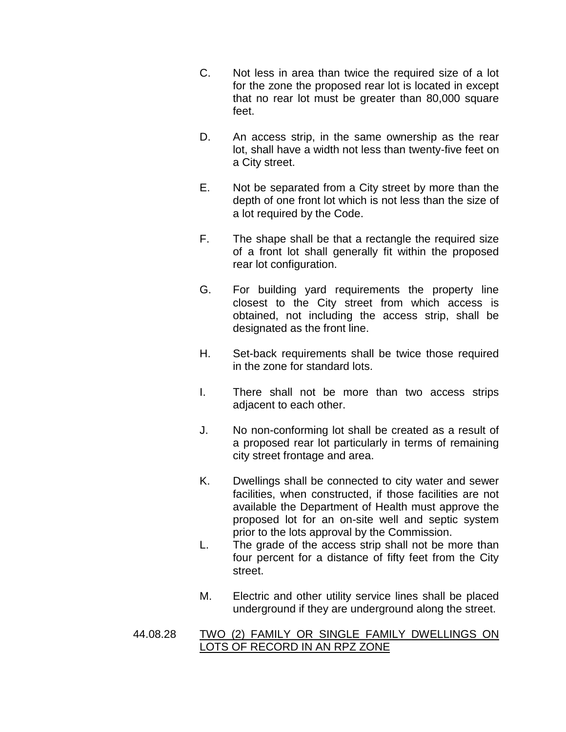- C. Not less in area than twice the required size of a lot for the zone the proposed rear lot is located in except that no rear lot must be greater than 80,000 square feet.
- D. An access strip, in the same ownership as the rear lot, shall have a width not less than twenty-five feet on a City street.
- E. Not be separated from a City street by more than the depth of one front lot which is not less than the size of a lot required by the Code.
- F. The shape shall be that a rectangle the required size of a front lot shall generally fit within the proposed rear lot configuration.
- G. For building yard requirements the property line closest to the City street from which access is obtained, not including the access strip, shall be designated as the front line.
- H. Set-back requirements shall be twice those required in the zone for standard lots.
- I. There shall not be more than two access strips adjacent to each other.
- J. No non-conforming lot shall be created as a result of a proposed rear lot particularly in terms of remaining city street frontage and area.
- K. Dwellings shall be connected to city water and sewer facilities, when constructed, if those facilities are not available the Department of Health must approve the proposed lot for an on-site well and septic system prior to the lots approval by the Commission.
- L. The grade of the access strip shall not be more than four percent for a distance of fifty feet from the City street.
- M. Electric and other utility service lines shall be placed underground if they are underground along the street.
- 44.08.28 TWO (2) FAMILY OR SINGLE FAMILY DWELLINGS ON LOTS OF RECORD IN AN RPZ ZONE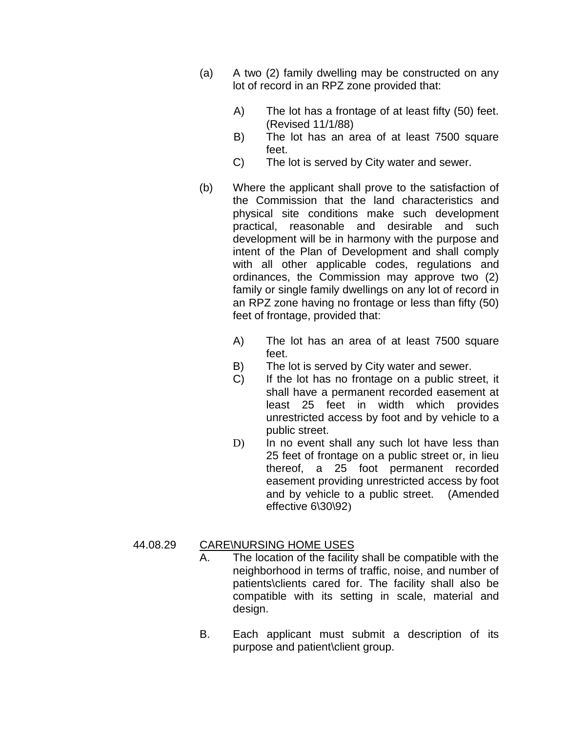- (a) A two (2) family dwelling may be constructed on any lot of record in an RPZ zone provided that:
	- A) The lot has a frontage of at least fifty (50) feet. (Revised 11/1/88)
	- B) The lot has an area of at least 7500 square feet.
	- C) The lot is served by City water and sewer.
- (b) Where the applicant shall prove to the satisfaction of the Commission that the land characteristics and physical site conditions make such development practical, reasonable and desirable and such development will be in harmony with the purpose and intent of the Plan of Development and shall comply with all other applicable codes, regulations and ordinances, the Commission may approve two (2) family or single family dwellings on any lot of record in an RPZ zone having no frontage or less than fifty (50) feet of frontage, provided that:
	- A) The lot has an area of at least 7500 square feet.
	- B) The lot is served by City water and sewer.
	- C) If the lot has no frontage on a public street, it shall have a permanent recorded easement at least 25 feet in width which provides unrestricted access by foot and by vehicle to a public street.
	- D) In no event shall any such lot have less than 25 feet of frontage on a public street or, in lieu thereof, a 25 foot permanent recorded easement providing unrestricted access by foot and by vehicle to a public street. (Amended effective 6\30\92)

#### 44.08.29 CARE\NURSING HOME USES

- A. The location of the facility shall be compatible with the neighborhood in terms of traffic, noise, and number of patients\clients cared for. The facility shall also be compatible with its setting in scale, material and design.
- B. Each applicant must submit a description of its purpose and patient\client group.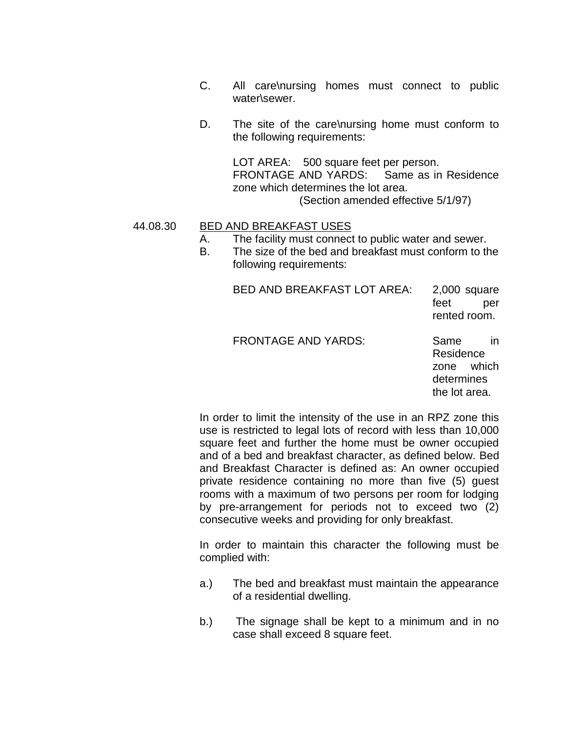- C. All care\nursing homes must connect to public water\sewer.
- D. The site of the care\nursing home must conform to the following requirements:

LOT AREA: 500 square feet per person. FRONTAGE AND YARDS: Same as in Residence zone which determines the lot area. (Section amended effective 5/1/97)

#### 44.08.30 BED AND BREAKFAST USES

- A. The facility must connect to public water and sewer.
- B. The size of the bed and breakfast must conform to the following requirements:

BED AND BREAKFAST LOT AREA: 2,000 square feet per rented room.

FRONTAGE AND YARDS: Same in

Residence zone which determines the lot area.

In order to limit the intensity of the use in an RPZ zone this use is restricted to legal lots of record with less than 10,000 square feet and further the home must be owner occupied and of a bed and breakfast character, as defined below. Bed and Breakfast Character is defined as: An owner occupied private residence containing no more than five (5) guest rooms with a maximum of two persons per room for lodging by pre-arrangement for periods not to exceed two (2) consecutive weeks and providing for only breakfast.

In order to maintain this character the following must be complied with:

- a.) The bed and breakfast must maintain the appearance of a residential dwelling.
- b.) The signage shall be kept to a minimum and in no case shall exceed 8 square feet.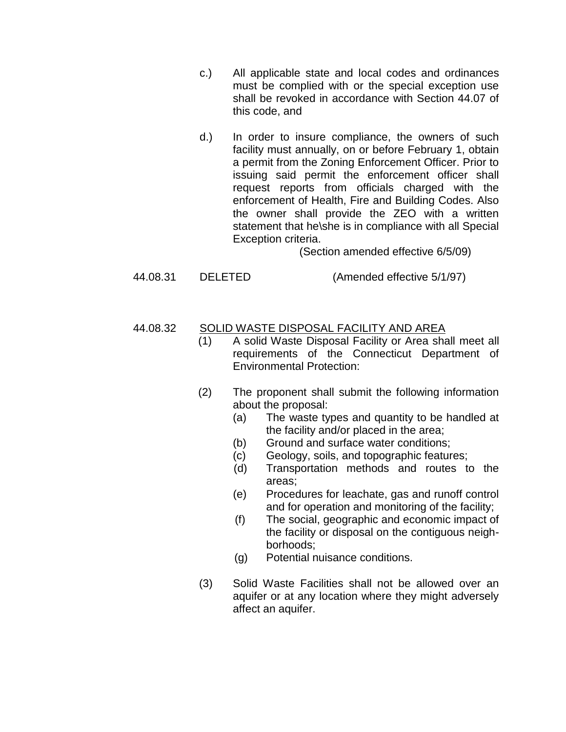- c.) All applicable state and local codes and ordinances must be complied with or the special exception use shall be revoked in accordance with Section 44.07 of this code, and
- d.) In order to insure compliance, the owners of such facility must annually, on or before February 1, obtain a permit from the Zoning Enforcement Officer. Prior to issuing said permit the enforcement officer shall request reports from officials charged with the enforcement of Health, Fire and Building Codes. Also the owner shall provide the ZEO with a written statement that he\she is in compliance with all Special Exception criteria.

(Section amended effective 6/5/09)

44.08.31 DELETED (Amended effective 5/1/97)

## 44.08.32 SOLID WASTE DISPOSAL FACILITY AND AREA

- (1) A solid Waste Disposal Facility or Area shall meet all requirements of the Connecticut Department of Environmental Protection:
- (2) The proponent shall submit the following information about the proposal:
	- (a) The waste types and quantity to be handled at the facility and/or placed in the area;
	- (b) Ground and surface water conditions;
	- (c) Geology, soils, and topographic features;
	- (d) Transportation methods and routes to the areas;
	- (e) Procedures for leachate, gas and runoff control and for operation and monitoring of the facility;
	- (f) The social, geographic and economic impact of the facility or disposal on the contiguous neighborhoods;
	- (g) Potential nuisance conditions.
- (3) Solid Waste Facilities shall not be allowed over an aquifer or at any location where they might adversely affect an aquifer.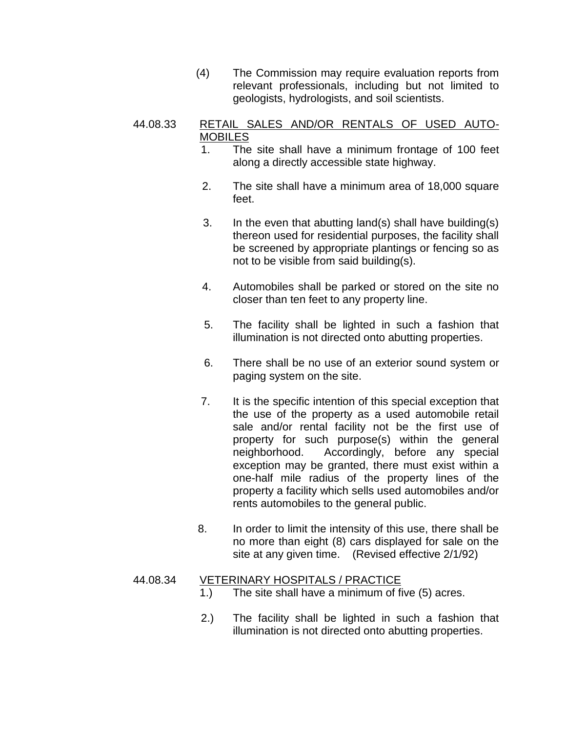(4) The Commission may require evaluation reports from relevant professionals, including but not limited to geologists, hydrologists, and soil scientists.

#### 44.08.33 RETAIL SALES AND/OR RENTALS OF USED AUTO-**MOBILES**

- 1. The site shall have a minimum frontage of 100 feet along a directly accessible state highway.
- 2. The site shall have a minimum area of 18,000 square feet.
- 3. In the even that abutting land(s) shall have building(s) thereon used for residential purposes, the facility shall be screened by appropriate plantings or fencing so as not to be visible from said building(s).
- 4. Automobiles shall be parked or stored on the site no closer than ten feet to any property line.
- 5. The facility shall be lighted in such a fashion that illumination is not directed onto abutting properties.
- 6. There shall be no use of an exterior sound system or paging system on the site.
- 7. It is the specific intention of this special exception that the use of the property as a used automobile retail sale and/or rental facility not be the first use of property for such purpose(s) within the general neighborhood. Accordingly, before any special exception may be granted, there must exist within a one-half mile radius of the property lines of the property a facility which sells used automobiles and/or rents automobiles to the general public.
- 8. In order to limit the intensity of this use, there shall be no more than eight (8) cars displayed for sale on the site at any given time. (Revised effective 2/1/92)

#### 44.08.34 VETERINARY HOSPITALS / PRACTICE

- 1.) The site shall have a minimum of five (5) acres.
- 2.) The facility shall be lighted in such a fashion that illumination is not directed onto abutting properties.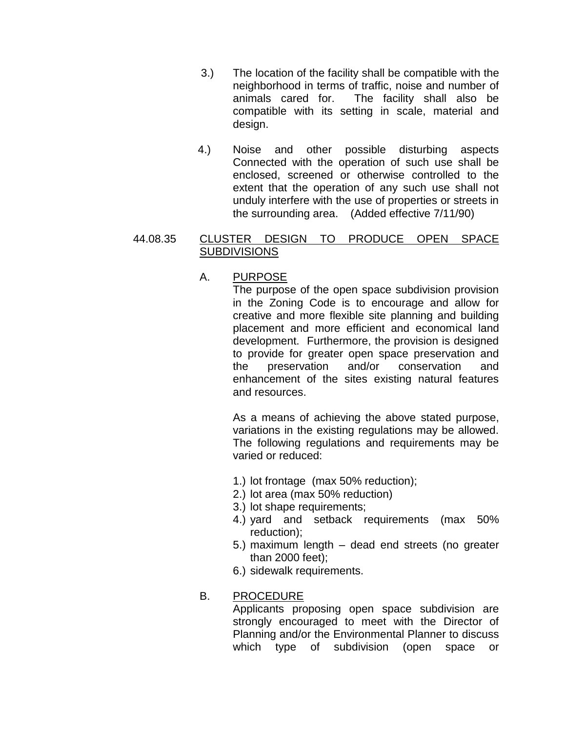- 3.) The location of the facility shall be compatible with the neighborhood in terms of traffic, noise and number of animals cared for. The facility shall also be compatible with its setting in scale, material and design.
- 4.) Noise and other possible disturbing aspects Connected with the operation of such use shall be enclosed, screened or otherwise controlled to the extent that the operation of any such use shall not unduly interfere with the use of properties or streets in the surrounding area. (Added effective 7/11/90)

### 44.08.35 CLUSTER DESIGN TO PRODUCE OPEN SPACE **SUBDIVISIONS**

# A. PURPOSE

The purpose of the open space subdivision provision in the Zoning Code is to encourage and allow for creative and more flexible site planning and building placement and more efficient and economical land development. Furthermore, the provision is designed to provide for greater open space preservation and the preservation and/or conservation and enhancement of the sites existing natural features and resources.

As a means of achieving the above stated purpose, variations in the existing regulations may be allowed. The following regulations and requirements may be varied or reduced:

- 1.) lot frontage (max 50% reduction);
- 2.) lot area (max 50% reduction)
- 3.) lot shape requirements;
- 4.) yard and setback requirements (max 50% reduction);
- 5.) maximum length dead end streets (no greater than 2000 feet);
- 6.) sidewalk requirements.

## B. PROCEDURE

Applicants proposing open space subdivision are strongly encouraged to meet with the Director of Planning and/or the Environmental Planner to discuss which type of subdivision (open space or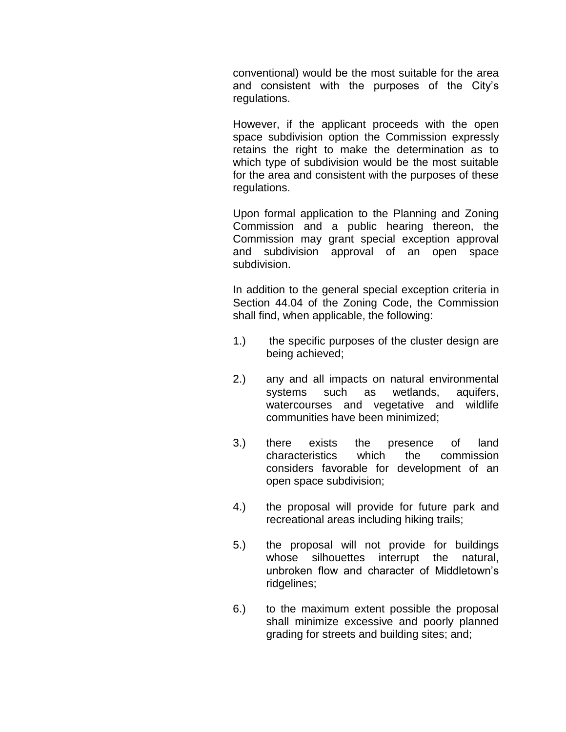conventional) would be the most suitable for the area and consistent with the purposes of the City's regulations.

However, if the applicant proceeds with the open space subdivision option the Commission expressly retains the right to make the determination as to which type of subdivision would be the most suitable for the area and consistent with the purposes of these regulations.

Upon formal application to the Planning and Zoning Commission and a public hearing thereon, the Commission may grant special exception approval and subdivision approval of an open space subdivision.

In addition to the general special exception criteria in Section 44.04 of the Zoning Code, the Commission shall find, when applicable, the following:

- 1.) the specific purposes of the cluster design are being achieved;
- 2.) any and all impacts on natural environmental systems such as wetlands, aquifers, watercourses and vegetative and wildlife communities have been minimized;
- 3.) there exists the presence of land characteristics which the commission considers favorable for development of an open space subdivision;
- 4.) the proposal will provide for future park and recreational areas including hiking trails;
- 5.) the proposal will not provide for buildings whose silhouettes interrupt the natural, unbroken flow and character of Middletown's ridgelines;
- 6.) to the maximum extent possible the proposal shall minimize excessive and poorly planned grading for streets and building sites; and;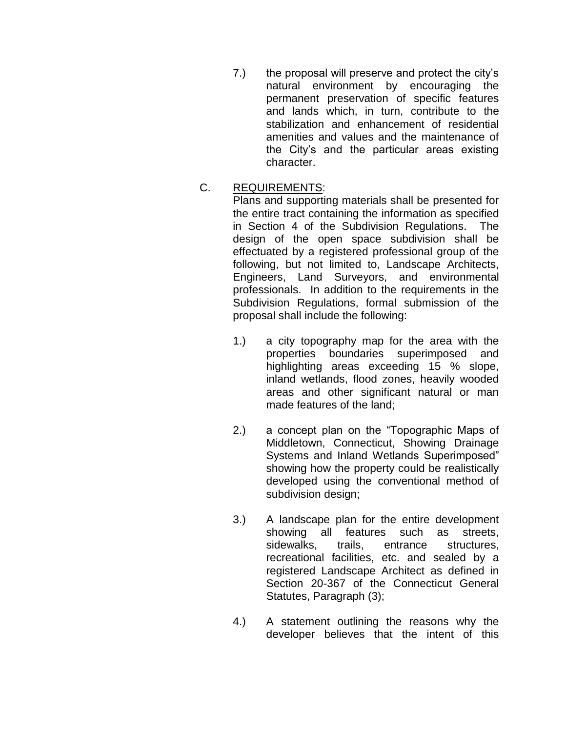7.) the proposal will preserve and protect the city's natural environment by encouraging the permanent preservation of specific features and lands which, in turn, contribute to the stabilization and enhancement of residential amenities and values and the maintenance of the City's and the particular areas existing character.

## C. REQUIREMENTS:

Plans and supporting materials shall be presented for the entire tract containing the information as specified in Section 4 of the Subdivision Regulations. The design of the open space subdivision shall be effectuated by a registered professional group of the following, but not limited to, Landscape Architects, Engineers, Land Surveyors, and environmental professionals. In addition to the requirements in the Subdivision Regulations, formal submission of the proposal shall include the following:

- 1.) a city topography map for the area with the properties boundaries superimposed and highlighting areas exceeding 15 % slope, inland wetlands, flood zones, heavily wooded areas and other significant natural or man made features of the land;
- 2.) a concept plan on the "Topographic Maps of Middletown, Connecticut, Showing Drainage Systems and Inland Wetlands Superimposed" showing how the property could be realistically developed using the conventional method of subdivision design;
- 3.) A landscape plan for the entire development showing all features such as streets, sidewalks, trails, entrance structures, recreational facilities, etc. and sealed by a registered Landscape Architect as defined in Section 20-367 of the Connecticut General Statutes, Paragraph (3);
- 4.) A statement outlining the reasons why the developer believes that the intent of this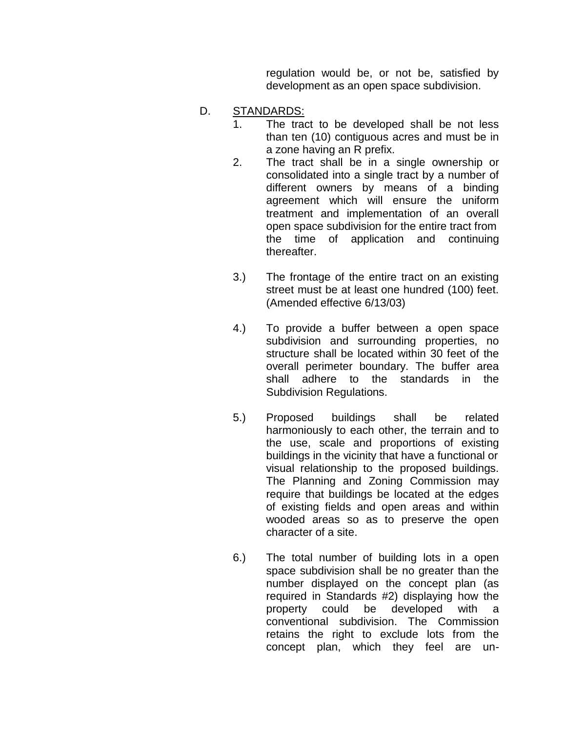regulation would be, or not be, satisfied by development as an open space subdivision.

- D. STANDARDS:
	- 1. The tract to be developed shall be not less than ten (10) contiguous acres and must be in a zone having an R prefix.
	- 2. The tract shall be in a single ownership or consolidated into a single tract by a number of different owners by means of a binding agreement which will ensure the uniform treatment and implementation of an overall open space subdivision for the entire tract from the time of application and continuing thereafter.
	- 3.) The frontage of the entire tract on an existing street must be at least one hundred (100) feet. (Amended effective 6/13/03)
	- 4.) To provide a buffer between a open space subdivision and surrounding properties, no structure shall be located within 30 feet of the overall perimeter boundary. The buffer area shall adhere to the standards in the Subdivision Regulations.
	- 5.) Proposed buildings shall be related harmoniously to each other, the terrain and to the use, scale and proportions of existing buildings in the vicinity that have a functional or visual relationship to the proposed buildings. The Planning and Zoning Commission may require that buildings be located at the edges of existing fields and open areas and within wooded areas so as to preserve the open character of a site.
	- 6.) The total number of building lots in a open space subdivision shall be no greater than the number displayed on the concept plan (as required in Standards #2) displaying how the property could be developed with a conventional subdivision. The Commission retains the right to exclude lots from the concept plan, which they feel are un-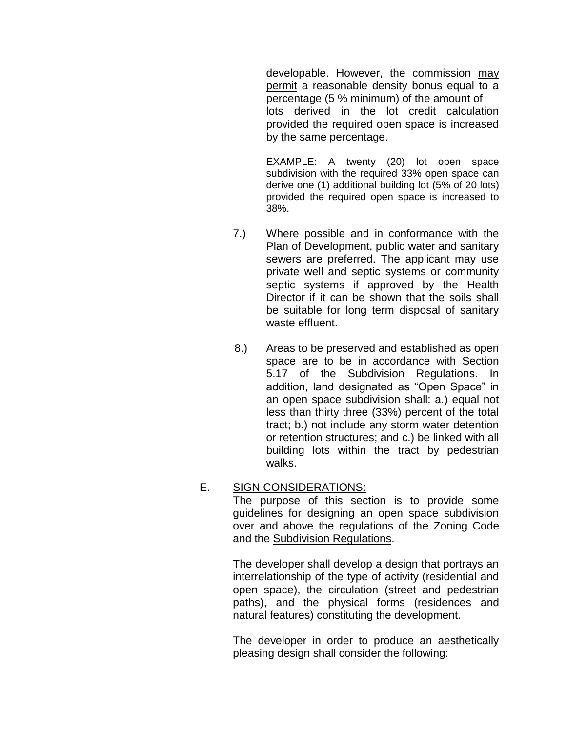developable. However, the commission may permit a reasonable density bonus equal to a percentage (5 % minimum) of the amount of lots derived in the lot credit calculation provided the required open space is increased by the same percentage.

EXAMPLE: A twenty (20) lot open space subdivision with the required 33% open space can derive one (1) additional building lot (5% of 20 lots) provided the required open space is increased to 38%.

- 7.) Where possible and in conformance with the Plan of Development, public water and sanitary sewers are preferred. The applicant may use private well and septic systems or community septic systems if approved by the Health Director if it can be shown that the soils shall be suitable for long term disposal of sanitary waste effluent.
- 8.) Areas to be preserved and established as open space are to be in accordance with Section 5.17 of the Subdivision Regulations. In addition, land designated as "Open Space" in an open space subdivision shall: a.) equal not less than thirty three (33%) percent of the total tract; b.) not include any storm water detention or retention structures; and c.) be linked with all building lots within the tract by pedestrian walks.

#### E. SIGN CONSIDERATIONS:

The purpose of this section is to provide some guidelines for designing an open space subdivision over and above the regulations of the Zoning Code and the Subdivision Regulations.

The developer shall develop a design that portrays an interrelationship of the type of activity (residential and open space), the circulation (street and pedestrian paths), and the physical forms (residences and natural features) constituting the development.

The developer in order to produce an aesthetically pleasing design shall consider the following: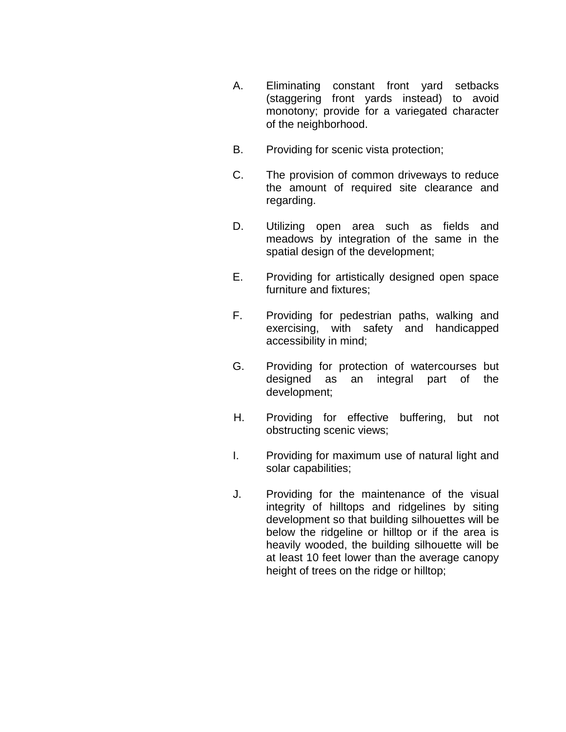- A. Eliminating constant front yard setbacks (staggering front yards instead) to avoid monotony; provide for a variegated character of the neighborhood.
- B. Providing for scenic vista protection;
- C. The provision of common driveways to reduce the amount of required site clearance and regarding.
- D. Utilizing open area such as fields and meadows by integration of the same in the spatial design of the development;
- E. Providing for artistically designed open space furniture and fixtures;
- F. Providing for pedestrian paths, walking and exercising, with safety and handicapped accessibility in mind;
- G. Providing for protection of watercourses but designed as an integral part of the development;
- H. Providing for effective buffering, but not obstructing scenic views;
- I. Providing for maximum use of natural light and solar capabilities;
- J. Providing for the maintenance of the visual integrity of hilltops and ridgelines by siting development so that building silhouettes will be below the ridgeline or hilltop or if the area is heavily wooded, the building silhouette will be at least 10 feet lower than the average canopy height of trees on the ridge or hilltop;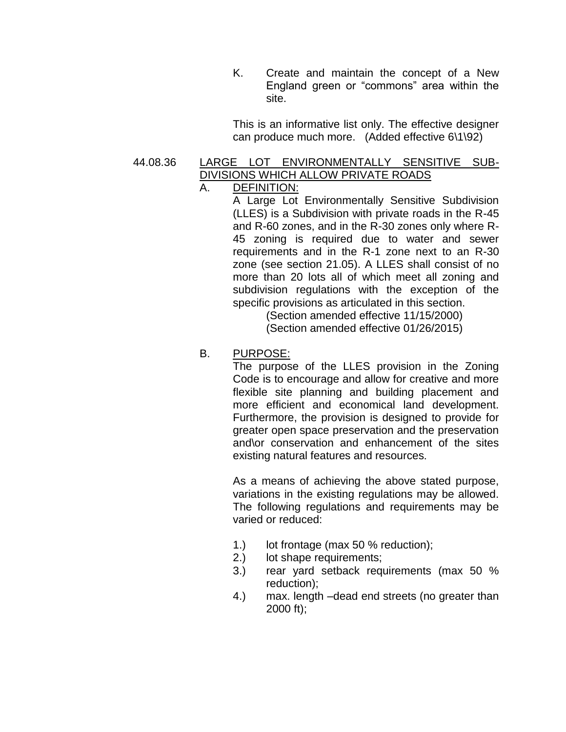K. Create and maintain the concept of a New England green or "commons" area within the site.

This is an informative list only. The effective designer can produce much more. (Added effective 6\1\92)

## 44.08.36 LARGE LOT ENVIRONMENTALLY SENSITIVE SUB-DIVISIONS WHICH ALLOW PRIVATE ROADS

## A. DEFINITION:

A Large Lot Environmentally Sensitive Subdivision (LLES) is a Subdivision with private roads in the R-45 and R-60 zones, and in the R-30 zones only where R-45 zoning is required due to water and sewer requirements and in the R-1 zone next to an R-30 zone (see section 21.05). A LLES shall consist of no more than 20 lots all of which meet all zoning and subdivision regulations with the exception of the specific provisions as articulated in this section.

> (Section amended effective 11/15/2000) (Section amended effective 01/26/2015)

#### B. PURPOSE:

The purpose of the LLES provision in the Zoning Code is to encourage and allow for creative and more flexible site planning and building placement and more efficient and economical land development. Furthermore, the provision is designed to provide for greater open space preservation and the preservation and\or conservation and enhancement of the sites existing natural features and resources.

As a means of achieving the above stated purpose, variations in the existing regulations may be allowed. The following regulations and requirements may be varied or reduced:

- 1.) lot frontage (max 50 % reduction);
- 2.) lot shape requirements;
- 3.) rear yard setback requirements (max 50 % reduction);
- 4.) max. length –dead end streets (no greater than 2000 ft);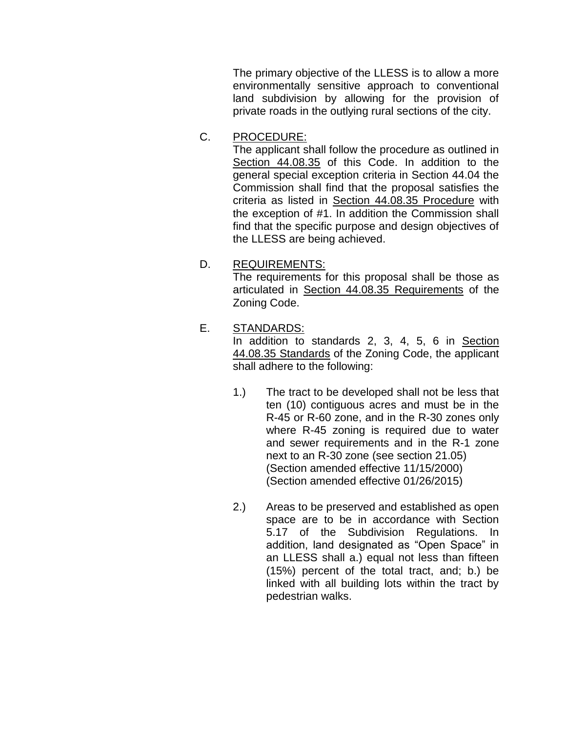The primary objective of the LLESS is to allow a more environmentally sensitive approach to conventional land subdivision by allowing for the provision of private roads in the outlying rural sections of the city.

C. PROCEDURE:

The applicant shall follow the procedure as outlined in Section 44.08.35 of this Code. In addition to the general special exception criteria in Section 44.04 the Commission shall find that the proposal satisfies the criteria as listed in Section 44.08.35 Procedure with the exception of #1. In addition the Commission shall find that the specific purpose and design objectives of the LLESS are being achieved.

D. REQUIREMENTS:

The requirements for this proposal shall be those as articulated in Section 44.08.35 Requirements of the Zoning Code.

## E. STANDARDS:

In addition to standards 2, 3, 4, 5, 6 in Section 44.08.35 Standards of the Zoning Code, the applicant shall adhere to the following:

- 1.) The tract to be developed shall not be less that ten (10) contiguous acres and must be in the R-45 or R-60 zone, and in the R-30 zones only where R-45 zoning is required due to water and sewer requirements and in the R-1 zone next to an R-30 zone (see section 21.05) (Section amended effective 11/15/2000) (Section amended effective 01/26/2015)
- 2.) Areas to be preserved and established as open space are to be in accordance with Section 5.17 of the Subdivision Regulations. In addition, land designated as "Open Space" in an LLESS shall a.) equal not less than fifteen (15%) percent of the total tract, and; b.) be linked with all building lots within the tract by pedestrian walks.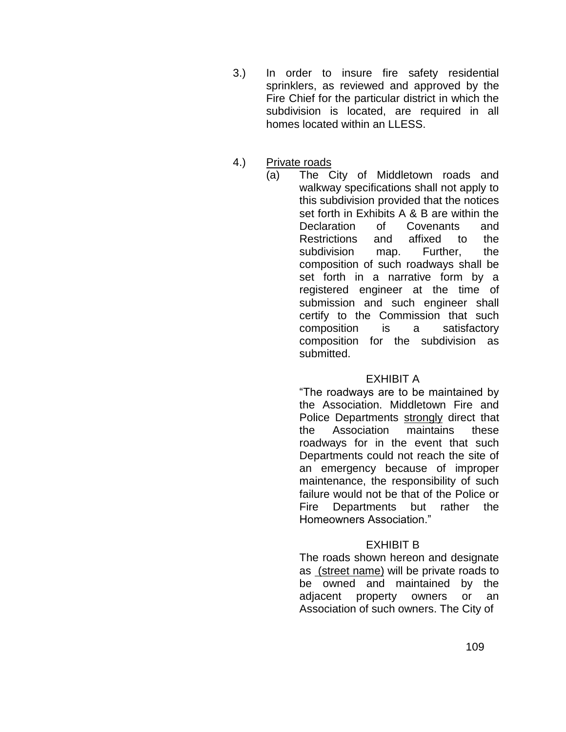- 3.) In order to insure fire safety residential sprinklers, as reviewed and approved by the Fire Chief for the particular district in which the subdivision is located, are required in all homes located within an LLESS.
- 4.) Private roads
	- (a) The City of Middletown roads and walkway specifications shall not apply to this subdivision provided that the notices set forth in Exhibits A & B are within the Declaration of Covenants and Restrictions and affixed to the subdivision map. Further, the composition of such roadways shall be set forth in a narrative form by a registered engineer at the time of submission and such engineer shall certify to the Commission that such composition is a satisfactory composition for the subdivision as submitted.

#### EXHIBIT A

"The roadways are to be maintained by the Association. Middletown Fire and Police Departments strongly direct that the Association maintains these roadways for in the event that such Departments could not reach the site of an emergency because of improper maintenance, the responsibility of such failure would not be that of the Police or Fire Departments but rather the Homeowners Association."

## EXHIBIT B

The roads shown hereon and designate as (street name) will be private roads to be owned and maintained by the adjacent property owners or an Association of such owners. The City of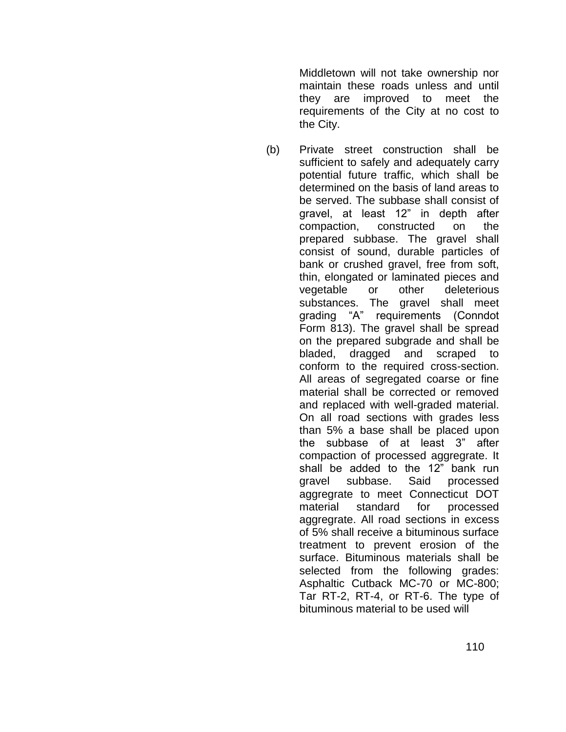Middletown will not take ownership nor maintain these roads unless and until they are improved to meet the requirements of the City at no cost to the City.

(b) Private street construction shall be sufficient to safely and adequately carry potential future traffic, which shall be determined on the basis of land areas to be served. The subbase shall consist of gravel, at least 12" in depth after compaction, constructed on the prepared subbase. The gravel shall consist of sound, durable particles of bank or crushed gravel, free from soft, thin, elongated or laminated pieces and vegetable or other deleterious substances. The gravel shall meet grading "A" requirements (Conndot Form 813). The gravel shall be spread on the prepared subgrade and shall be bladed, dragged and scraped to conform to the required cross-section. All areas of segregated coarse or fine material shall be corrected or removed and replaced with well-graded material. On all road sections with grades less than 5% a base shall be placed upon the subbase of at least 3" after compaction of processed aggregrate. It shall be added to the 12" bank run gravel subbase. Said processed aggregrate to meet Connecticut DOT material standard for processed aggregrate. All road sections in excess of 5% shall receive a bituminous surface treatment to prevent erosion of the surface. Bituminous materials shall be selected from the following grades: Asphaltic Cutback MC-70 or MC-800; Tar RT-2, RT-4, or RT-6. The type of bituminous material to be used will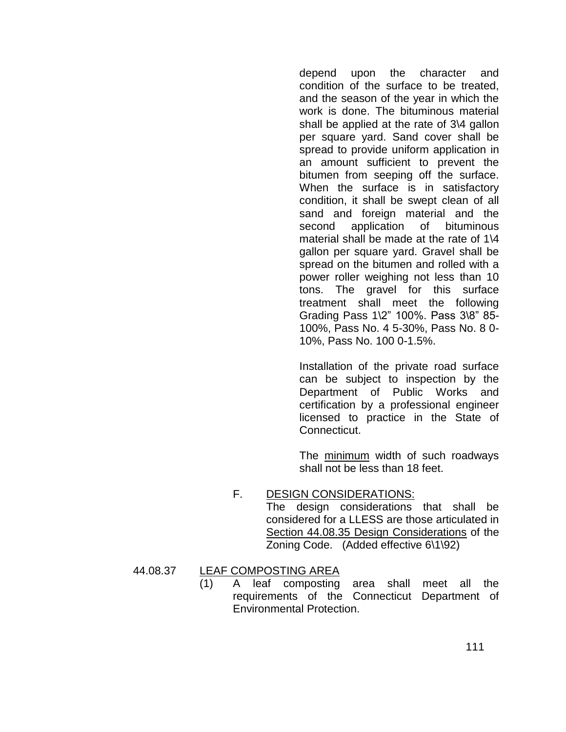depend upon the character and condition of the surface to be treated, and the season of the year in which the work is done. The bituminous material shall be applied at the rate of 3\4 gallon per square yard. Sand cover shall be spread to provide uniform application in an amount sufficient to prevent the bitumen from seeping off the surface. When the surface is in satisfactory condition, it shall be swept clean of all sand and foreign material and the second application of bituminous material shall be made at the rate of 1\4 gallon per square yard. Gravel shall be spread on the bitumen and rolled with a power roller weighing not less than 10 tons. The gravel for this surface treatment shall meet the following Grading Pass 1\2" 100%. Pass 3\8" 85- 100%, Pass No. 4 5-30%, Pass No. 8 0- 10%, Pass No. 100 0-1.5%.

Installation of the private road surface can be subject to inspection by the Department of Public Works and certification by a professional engineer licensed to practice in the State of Connecticut.

The minimum width of such roadways shall not be less than 18 feet.

# F. DESIGN CONSIDERATIONS:

The design considerations that shall be considered for a LLESS are those articulated in Section 44.08.35 Design Considerations of the Zoning Code. (Added effective 6\1\92)

- 44.08.37 LEAF COMPOSTING AREA
	- (1) A leaf composting area shall meet all the requirements of the Connecticut Department of Environmental Protection.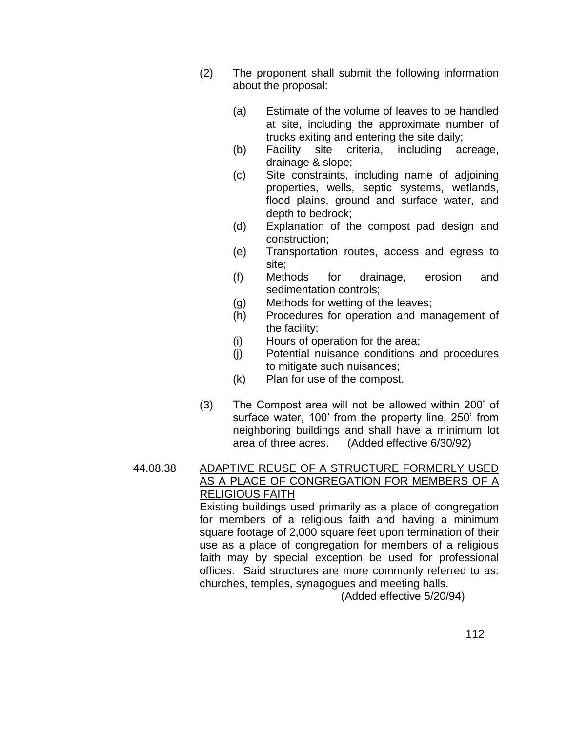- (2) The proponent shall submit the following information about the proposal:
	- (a) Estimate of the volume of leaves to be handled at site, including the approximate number of trucks exiting and entering the site daily;
	- (b) Facility site criteria, including acreage, drainage & slope;
	- (c) Site constraints, including name of adjoining properties, wells, septic systems, wetlands, flood plains, ground and surface water, and depth to bedrock;
	- (d) Explanation of the compost pad design and construction;
	- (e) Transportation routes, access and egress to site;
	- (f) Methods for drainage, erosion and sedimentation controls;
	- (g) Methods for wetting of the leaves;
	- (h) Procedures for operation and management of the facility;
	- (i) Hours of operation for the area;
	- (j) Potential nuisance conditions and procedures to mitigate such nuisances;
	- (k) Plan for use of the compost.
- (3) The Compost area will not be allowed within 200' of surface water, 100' from the property line, 250' from neighboring buildings and shall have a minimum lot area of three acres. (Added effective 6/30/92)

# 44.08.38 ADAPTIVE REUSE OF A STRUCTURE FORMERLY USED AS A PLACE OF CONGREGATION FOR MEMBERS OF A RELIGIOUS FAITH

Existing buildings used primarily as a place of congregation for members of a religious faith and having a minimum square footage of 2,000 square feet upon termination of their use as a place of congregation for members of a religious faith may by special exception be used for professional offices. Said structures are more commonly referred to as: churches, temples, synagogues and meeting halls.

(Added effective 5/20/94)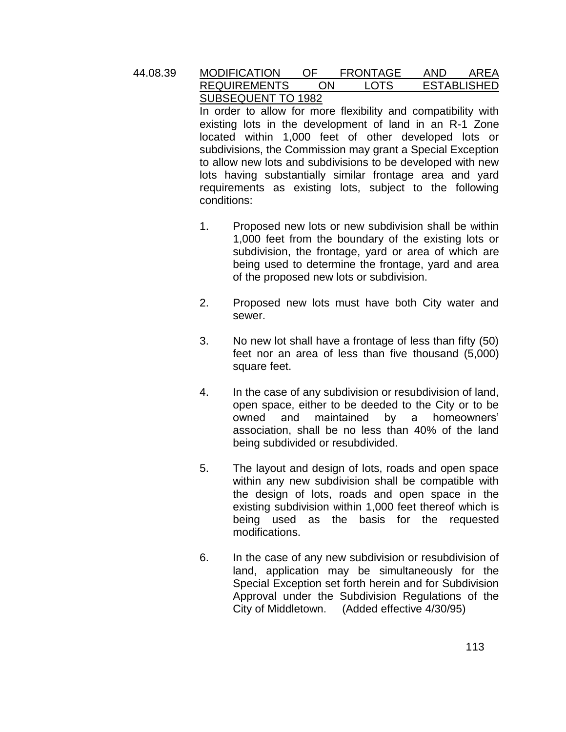#### 44.08.39 MODIFICATION OF FRONTAGE AND AREA REQUIREMENTS ON LOTS ESTABLISHED SUBSEQUENT TO 1982

In order to allow for more flexibility and compatibility with existing lots in the development of land in an R-1 Zone located within 1,000 feet of other developed lots or subdivisions, the Commission may grant a Special Exception to allow new lots and subdivisions to be developed with new lots having substantially similar frontage area and yard requirements as existing lots, subject to the following conditions:

- 1. Proposed new lots or new subdivision shall be within 1,000 feet from the boundary of the existing lots or subdivision, the frontage, yard or area of which are being used to determine the frontage, yard and area of the proposed new lots or subdivision.
- 2. Proposed new lots must have both City water and sewer.
- 3. No new lot shall have a frontage of less than fifty (50) feet nor an area of less than five thousand (5,000) square feet.
- 4. In the case of any subdivision or resubdivision of land, open space, either to be deeded to the City or to be owned and maintained by a homeowners' association, shall be no less than 40% of the land being subdivided or resubdivided.
- 5. The layout and design of lots, roads and open space within any new subdivision shall be compatible with the design of lots, roads and open space in the existing subdivision within 1,000 feet thereof which is being used as the basis for the requested modifications.
- 6. In the case of any new subdivision or resubdivision of land, application may be simultaneously for the Special Exception set forth herein and for Subdivision Approval under the Subdivision Regulations of the City of Middletown. (Added effective 4/30/95)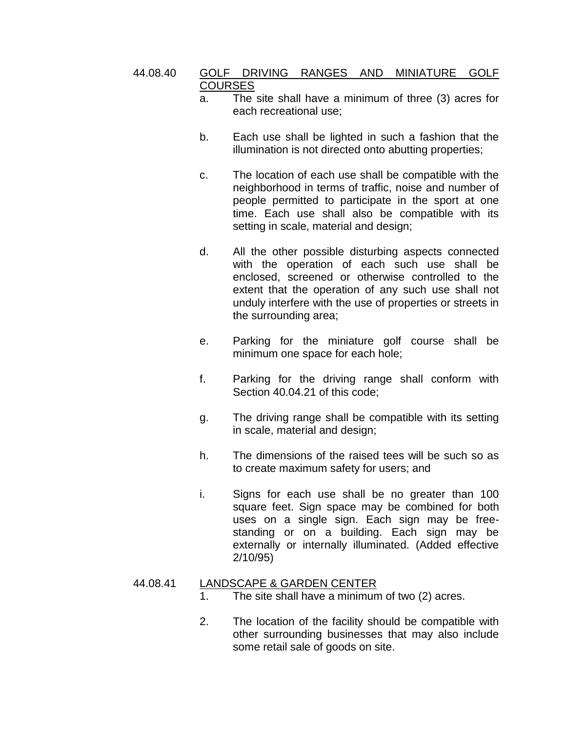#### 44.08.40 GOLF DRIVING RANGES AND MINIATURE GOLF **COURSES**

- a. The site shall have a minimum of three (3) acres for each recreational use;
- b. Each use shall be lighted in such a fashion that the illumination is not directed onto abutting properties;
- c. The location of each use shall be compatible with the neighborhood in terms of traffic, noise and number of people permitted to participate in the sport at one time. Each use shall also be compatible with its setting in scale, material and design;
- d. All the other possible disturbing aspects connected with the operation of each such use shall be enclosed, screened or otherwise controlled to the extent that the operation of any such use shall not unduly interfere with the use of properties or streets in the surrounding area;
- e. Parking for the miniature golf course shall be minimum one space for each hole;
- f. Parking for the driving range shall conform with Section 40.04.21 of this code;
- g. The driving range shall be compatible with its setting in scale, material and design;
- h. The dimensions of the raised tees will be such so as to create maximum safety for users; and
- i. Signs for each use shall be no greater than 100 square feet. Sign space may be combined for both uses on a single sign. Each sign may be freestanding or on a building. Each sign may be externally or internally illuminated. (Added effective 2/10/95)

#### 44.08.41 LANDSCAPE & GARDEN CENTER

- 1. The site shall have a minimum of two (2) acres.
- 2. The location of the facility should be compatible with other surrounding businesses that may also include some retail sale of goods on site.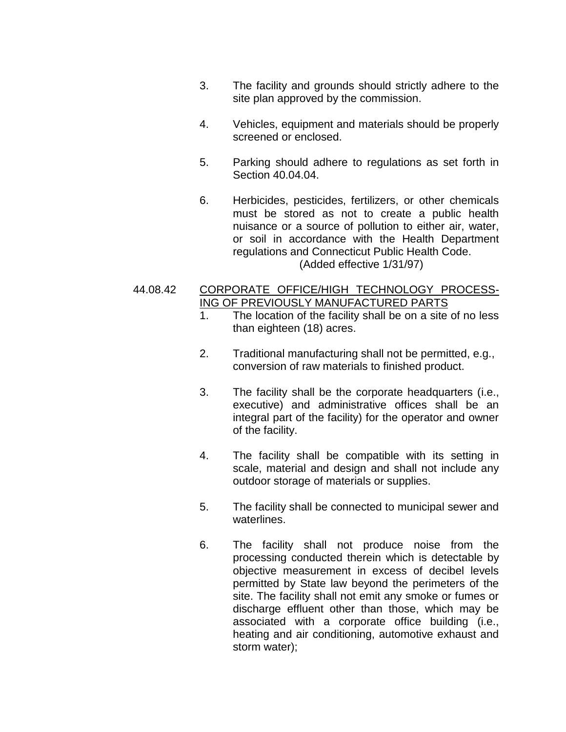- 3. The facility and grounds should strictly adhere to the site plan approved by the commission.
- 4. Vehicles, equipment and materials should be properly screened or enclosed.
- 5. Parking should adhere to regulations as set forth in Section 40.04.04.
- 6. Herbicides, pesticides, fertilizers, or other chemicals must be stored as not to create a public health nuisance or a source of pollution to either air, water, or soil in accordance with the Health Department regulations and Connecticut Public Health Code. (Added effective 1/31/97)

#### 44.08.42 CORPORATE OFFICE/HIGH TECHNOLOGY PROCESS-ING OF PREVIOUSLY MANUFACTURED PARTS

- 1. The location of the facility shall be on a site of no less than eighteen (18) acres.
- 2. Traditional manufacturing shall not be permitted, e.g., conversion of raw materials to finished product.
- 3. The facility shall be the corporate headquarters (i.e., executive) and administrative offices shall be an integral part of the facility) for the operator and owner of the facility.
- 4. The facility shall be compatible with its setting in scale, material and design and shall not include any outdoor storage of materials or supplies.
- 5. The facility shall be connected to municipal sewer and waterlines.
- 6. The facility shall not produce noise from the processing conducted therein which is detectable by objective measurement in excess of decibel levels permitted by State law beyond the perimeters of the site. The facility shall not emit any smoke or fumes or discharge effluent other than those, which may be associated with a corporate office building (i.e., heating and air conditioning, automotive exhaust and storm water);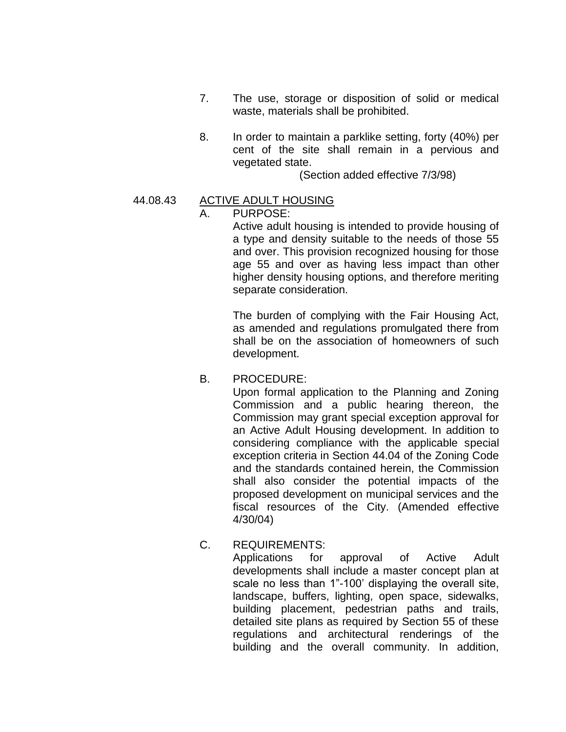- 7. The use, storage or disposition of solid or medical waste, materials shall be prohibited.
- 8. In order to maintain a parklike setting, forty (40%) per cent of the site shall remain in a pervious and vegetated state.

(Section added effective 7/3/98)

## 44.08.43 ACTIVE ADULT HOUSING

## PURPOSE:

Active adult housing is intended to provide housing of a type and density suitable to the needs of those 55 and over. This provision recognized housing for those age 55 and over as having less impact than other higher density housing options, and therefore meriting separate consideration.

The burden of complying with the Fair Housing Act, as amended and regulations promulgated there from shall be on the association of homeowners of such development.

#### B. PROCEDURE:

Upon formal application to the Planning and Zoning Commission and a public hearing thereon, the Commission may grant special exception approval for an Active Adult Housing development. In addition to considering compliance with the applicable special exception criteria in Section 44.04 of the Zoning Code and the standards contained herein, the Commission shall also consider the potential impacts of the proposed development on municipal services and the fiscal resources of the City. (Amended effective 4/30/04)

C. REQUIREMENTS:

Applications for approval of Active Adult developments shall include a master concept plan at scale no less than 1"-100' displaying the overall site, landscape, buffers, lighting, open space, sidewalks, building placement, pedestrian paths and trails, detailed site plans as required by Section 55 of these regulations and architectural renderings of the building and the overall community. In addition,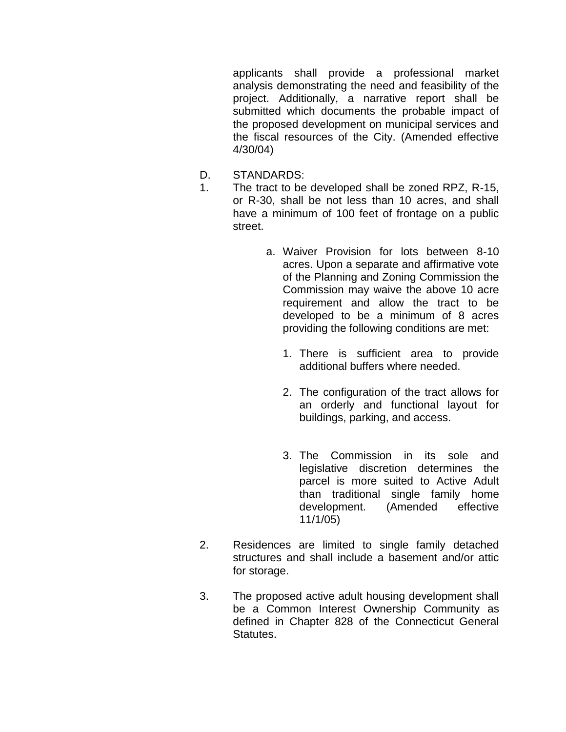applicants shall provide a professional market analysis demonstrating the need and feasibility of the project. Additionally, a narrative report shall be submitted which documents the probable impact of the proposed development on municipal services and the fiscal resources of the City. (Amended effective 4/30/04)

- D. STANDARDS:
- 1. The tract to be developed shall be zoned RPZ, R-15, or R-30, shall be not less than 10 acres, and shall have a minimum of 100 feet of frontage on a public street.
	- a. Waiver Provision for lots between 8-10 acres. Upon a separate and affirmative vote of the Planning and Zoning Commission the Commission may waive the above 10 acre requirement and allow the tract to be developed to be a minimum of 8 acres providing the following conditions are met:
		- 1. There is sufficient area to provide additional buffers where needed.
		- 2. The configuration of the tract allows for an orderly and functional layout for buildings, parking, and access.
		- 3. The Commission in its sole and legislative discretion determines the parcel is more suited to Active Adult than traditional single family home development. (Amended effective 11/1/05)
- 2. Residences are limited to single family detached structures and shall include a basement and/or attic for storage.
- 3. The proposed active adult housing development shall be a Common Interest Ownership Community as defined in Chapter 828 of the Connecticut General Statutes.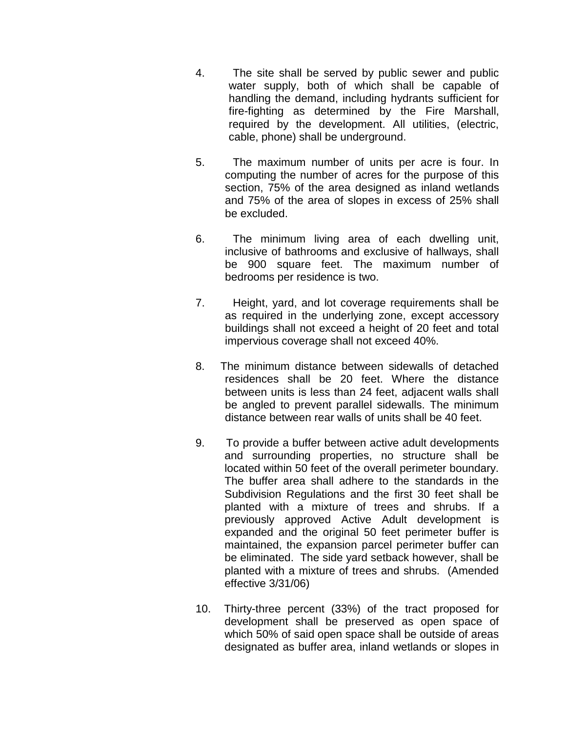- 4. The site shall be served by public sewer and public water supply, both of which shall be capable of handling the demand, including hydrants sufficient for fire-fighting as determined by the Fire Marshall, required by the development. All utilities, (electric, cable, phone) shall be underground.
- 5. The maximum number of units per acre is four. In computing the number of acres for the purpose of this section, 75% of the area designed as inland wetlands and 75% of the area of slopes in excess of 25% shall be excluded.
- 6. The minimum living area of each dwelling unit, inclusive of bathrooms and exclusive of hallways, shall be 900 square feet. The maximum number of bedrooms per residence is two.
- 7. Height, yard, and lot coverage requirements shall be as required in the underlying zone, except accessory buildings shall not exceed a height of 20 feet and total impervious coverage shall not exceed 40%.
- 8. The minimum distance between sidewalls of detached residences shall be 20 feet. Where the distance between units is less than 24 feet, adjacent walls shall be angled to prevent parallel sidewalls. The minimum distance between rear walls of units shall be 40 feet.
- 9. To provide a buffer between active adult developments and surrounding properties, no structure shall be located within 50 feet of the overall perimeter boundary. The buffer area shall adhere to the standards in the Subdivision Regulations and the first 30 feet shall be planted with a mixture of trees and shrubs. If a previously approved Active Adult development is expanded and the original 50 feet perimeter buffer is maintained, the expansion parcel perimeter buffer can be eliminated. The side yard setback however, shall be planted with a mixture of trees and shrubs. (Amended effective 3/31/06)
- 10. Thirty-three percent (33%) of the tract proposed for development shall be preserved as open space of which 50% of said open space shall be outside of areas designated as buffer area, inland wetlands or slopes in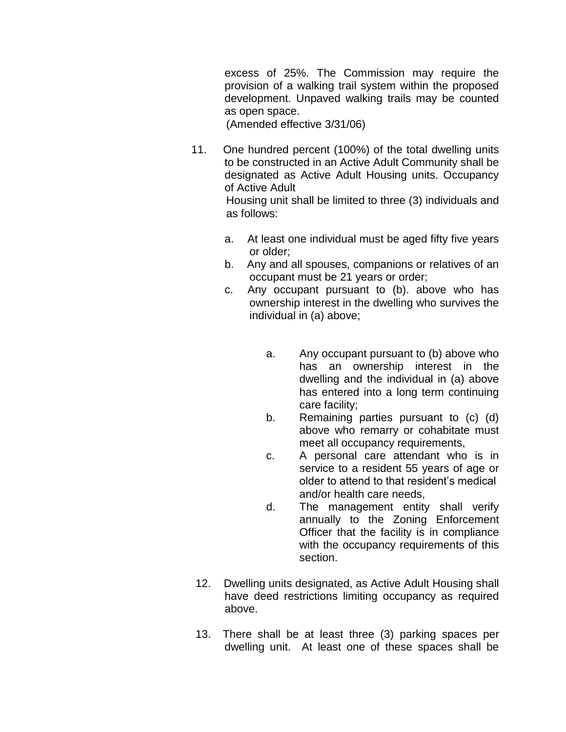excess of 25%. The Commission may require the provision of a walking trail system within the proposed development. Unpaved walking trails may be counted as open space.

(Amended effective 3/31/06)

as follows:

- 11. One hundred percent (100%) of the total dwelling units to be constructed in an Active Adult Community shall be designated as Active Adult Housing units. Occupancy of Active Adult Housing unit shall be limited to three (3) individuals and
	- a. At least one individual must be aged fifty five years or older;
	- b. Any and all spouses, companions or relatives of an occupant must be 21 years or order;
	- c. Any occupant pursuant to (b). above who has ownership interest in the dwelling who survives the individual in (a) above;
		- a. Any occupant pursuant to (b) above who has an ownership interest in the dwelling and the individual in (a) above has entered into a long term continuing care facility;
		- b. Remaining parties pursuant to (c) (d) above who remarry or cohabitate must meet all occupancy requirements,
		- c. A personal care attendant who is in service to a resident 55 years of age or older to attend to that resident's medical and/or health care needs,
		- d. The management entity shall verify annually to the Zoning Enforcement Officer that the facility is in compliance with the occupancy requirements of this section.
- 12. Dwelling units designated, as Active Adult Housing shall have deed restrictions limiting occupancy as required above.
- 13. There shall be at least three (3) parking spaces per dwelling unit. At least one of these spaces shall be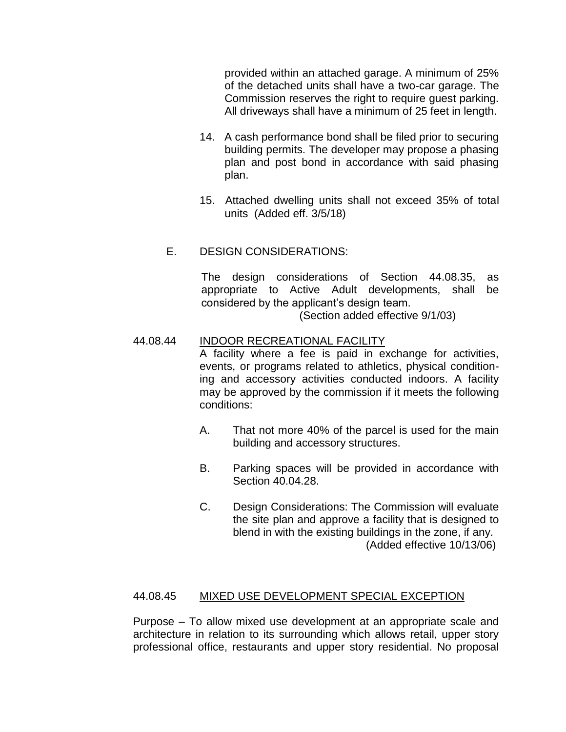provided within an attached garage. A minimum of 25% of the detached units shall have a two-car garage. The Commission reserves the right to require guest parking. All driveways shall have a minimum of 25 feet in length.

- 14. A cash performance bond shall be filed prior to securing building permits. The developer may propose a phasing plan and post bond in accordance with said phasing plan.
- 15. Attached dwelling units shall not exceed 35% of total units (Added eff. 3/5/18)
- E. DESIGN CONSIDERATIONS:

The design considerations of Section 44.08.35, as appropriate to Active Adult developments, shall be considered by the applicant's design team.

(Section added effective 9/1/03)

#### 44.08.44 INDOOR RECREATIONAL FACILITY

A facility where a fee is paid in exchange for activities, events, or programs related to athletics, physical conditioning and accessory activities conducted indoors. A facility may be approved by the commission if it meets the following conditions:

- A. That not more 40% of the parcel is used for the main building and accessory structures.
- B. Parking spaces will be provided in accordance with Section 40.04.28.
- C. Design Considerations: The Commission will evaluate the site plan and approve a facility that is designed to blend in with the existing buildings in the zone, if any. (Added effective 10/13/06)

#### 44.08.45 MIXED USE DEVELOPMENT SPECIAL EXCEPTION

Purpose – To allow mixed use development at an appropriate scale and architecture in relation to its surrounding which allows retail, upper story professional office, restaurants and upper story residential. No proposal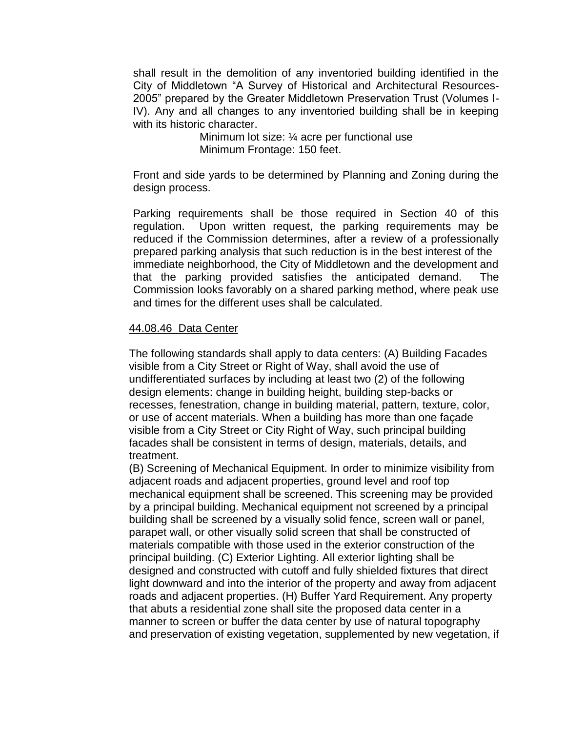shall result in the demolition of any inventoried building identified in the City of Middletown "A Survey of Historical and Architectural Resources-2005" prepared by the Greater Middletown Preservation Trust (Volumes I-IV). Any and all changes to any inventoried building shall be in keeping with its historic character.

> Minimum lot size: ¼ acre per functional use Minimum Frontage: 150 feet.

Front and side yards to be determined by Planning and Zoning during the design process.

Parking requirements shall be those required in Section 40 of this regulation. Upon written request, the parking requirements may be reduced if the Commission determines, after a review of a professionally prepared parking analysis that such reduction is in the best interest of the immediate neighborhood, the City of Middletown and the development and that the parking provided satisfies the anticipated demand. The Commission looks favorably on a shared parking method, where peak use and times for the different uses shall be calculated.

#### 44.08.46 Data Center

The following standards shall apply to data centers: (A) Building Facades visible from a City Street or Right of Way, shall avoid the use of undifferentiated surfaces by including at least two (2) of the following design elements: change in building height, building step-backs or recesses, fenestration, change in building material, pattern, texture, color, or use of accent materials. When a building has more than one façade visible from a City Street or City Right of Way, such principal building facades shall be consistent in terms of design, materials, details, and treatment.

(B) Screening of Mechanical Equipment. In order to minimize visibility from adjacent roads and adjacent properties, ground level and roof top mechanical equipment shall be screened. This screening may be provided by a principal building. Mechanical equipment not screened by a principal building shall be screened by a visually solid fence, screen wall or panel, parapet wall, or other visually solid screen that shall be constructed of materials compatible with those used in the exterior construction of the principal building. (C) Exterior Lighting. All exterior lighting shall be designed and constructed with cutoff and fully shielded fixtures that direct light downward and into the interior of the property and away from adjacent roads and adjacent properties. (H) Buffer Yard Requirement. Any property that abuts a residential zone shall site the proposed data center in a manner to screen or buffer the data center by use of natural topography and preservation of existing vegetation, supplemented by new vegetation, if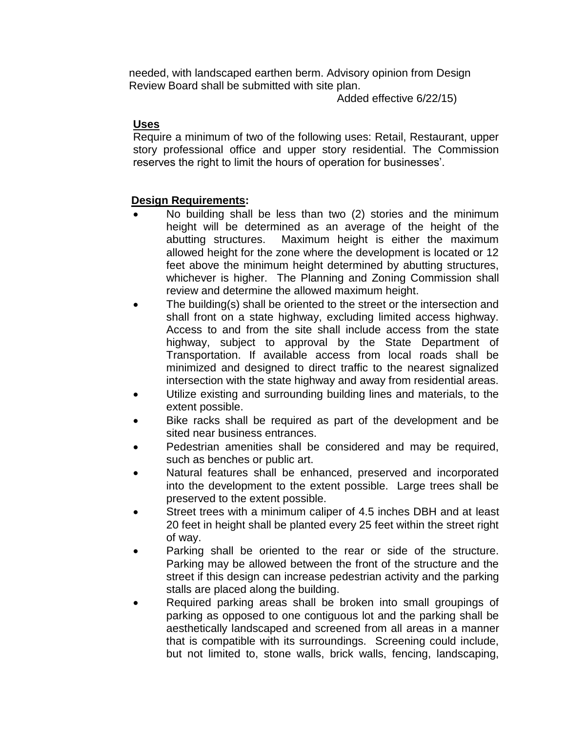needed, with landscaped earthen berm. Advisory opinion from Design Review Board shall be submitted with site plan.

Added effective 6/22/15)

## **Uses**

Require a minimum of two of the following uses: Retail, Restaurant, upper story professional office and upper story residential. The Commission reserves the right to limit the hours of operation for businesses'.

## **Design Requirements:**

- No building shall be less than two (2) stories and the minimum height will be determined as an average of the height of the abutting structures. Maximum height is either the maximum allowed height for the zone where the development is located or 12 feet above the minimum height determined by abutting structures, whichever is higher. The Planning and Zoning Commission shall review and determine the allowed maximum height.
- The building(s) shall be oriented to the street or the intersection and shall front on a state highway, excluding limited access highway. Access to and from the site shall include access from the state highway, subject to approval by the State Department of Transportation. If available access from local roads shall be minimized and designed to direct traffic to the nearest signalized intersection with the state highway and away from residential areas.
- Utilize existing and surrounding building lines and materials, to the extent possible.
- Bike racks shall be required as part of the development and be sited near business entrances.
- Pedestrian amenities shall be considered and may be required, such as benches or public art.
- Natural features shall be enhanced, preserved and incorporated into the development to the extent possible. Large trees shall be preserved to the extent possible.
- Street trees with a minimum caliper of 4.5 inches DBH and at least 20 feet in height shall be planted every 25 feet within the street right of way.
- Parking shall be oriented to the rear or side of the structure. Parking may be allowed between the front of the structure and the street if this design can increase pedestrian activity and the parking stalls are placed along the building.
- Required parking areas shall be broken into small groupings of parking as opposed to one contiguous lot and the parking shall be aesthetically landscaped and screened from all areas in a manner that is compatible with its surroundings. Screening could include, but not limited to, stone walls, brick walls, fencing, landscaping,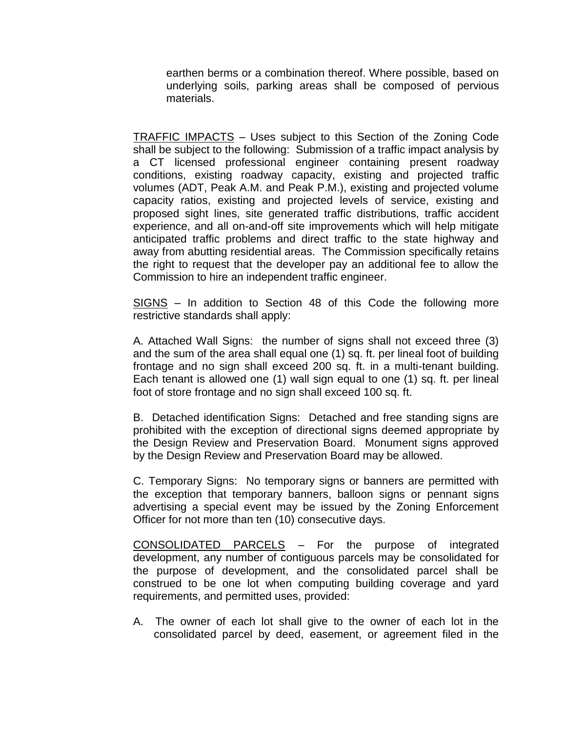earthen berms or a combination thereof. Where possible, based on underlying soils, parking areas shall be composed of pervious materials.

TRAFFIC IMPACTS – Uses subject to this Section of the Zoning Code shall be subject to the following: Submission of a traffic impact analysis by a CT licensed professional engineer containing present roadway conditions, existing roadway capacity, existing and projected traffic volumes (ADT, Peak A.M. and Peak P.M.), existing and projected volume capacity ratios, existing and projected levels of service, existing and proposed sight lines, site generated traffic distributions, traffic accident experience, and all on-and-off site improvements which will help mitigate anticipated traffic problems and direct traffic to the state highway and away from abutting residential areas. The Commission specifically retains the right to request that the developer pay an additional fee to allow the Commission to hire an independent traffic engineer.

SIGNS – In addition to Section 48 of this Code the following more restrictive standards shall apply:

A. Attached Wall Signs: the number of signs shall not exceed three (3) and the sum of the area shall equal one (1) sq. ft. per lineal foot of building frontage and no sign shall exceed 200 sq. ft. in a multi-tenant building. Each tenant is allowed one (1) wall sign equal to one (1) sq. ft. per lineal foot of store frontage and no sign shall exceed 100 sq. ft.

B. Detached identification Signs: Detached and free standing signs are prohibited with the exception of directional signs deemed appropriate by the Design Review and Preservation Board. Monument signs approved by the Design Review and Preservation Board may be allowed.

C. Temporary Signs: No temporary signs or banners are permitted with the exception that temporary banners, balloon signs or pennant signs advertising a special event may be issued by the Zoning Enforcement Officer for not more than ten (10) consecutive days.

CONSOLIDATED PARCELS – For the purpose of integrated development, any number of contiguous parcels may be consolidated for the purpose of development, and the consolidated parcel shall be construed to be one lot when computing building coverage and yard requirements, and permitted uses, provided:

A. The owner of each lot shall give to the owner of each lot in the consolidated parcel by deed, easement, or agreement filed in the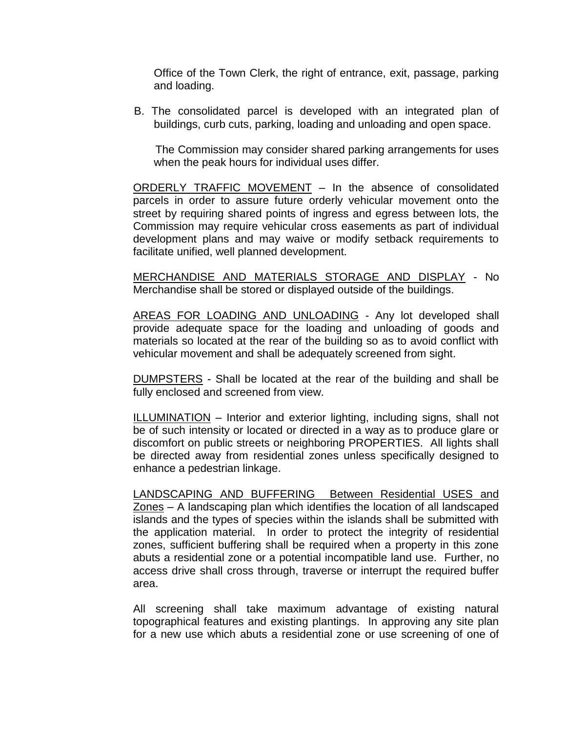Office of the Town Clerk, the right of entrance, exit, passage, parking and loading.

 B. The consolidated parcel is developed with an integrated plan of buildings, curb cuts, parking, loading and unloading and open space.

 The Commission may consider shared parking arrangements for uses when the peak hours for individual uses differ.

ORDERLY TRAFFIC MOVEMENT – In the absence of consolidated parcels in order to assure future orderly vehicular movement onto the street by requiring shared points of ingress and egress between lots, the Commission may require vehicular cross easements as part of individual development plans and may waive or modify setback requirements to facilitate unified, well planned development.

MERCHANDISE AND MATERIALS STORAGE AND DISPLAY - No Merchandise shall be stored or displayed outside of the buildings.

AREAS FOR LOADING AND UNLOADING - Any lot developed shall provide adequate space for the loading and unloading of goods and materials so located at the rear of the building so as to avoid conflict with vehicular movement and shall be adequately screened from sight.

DUMPSTERS - Shall be located at the rear of the building and shall be fully enclosed and screened from view.

ILLUMINATION – Interior and exterior lighting, including signs, shall not be of such intensity or located or directed in a way as to produce glare or discomfort on public streets or neighboring PROPERTIES. All lights shall be directed away from residential zones unless specifically designed to enhance a pedestrian linkage.

LANDSCAPING AND BUFFERING Between Residential USES and Zones – A landscaping plan which identifies the location of all landscaped islands and the types of species within the islands shall be submitted with the application material. In order to protect the integrity of residential zones, sufficient buffering shall be required when a property in this zone abuts a residential zone or a potential incompatible land use. Further, no access drive shall cross through, traverse or interrupt the required buffer area.

All screening shall take maximum advantage of existing natural topographical features and existing plantings. In approving any site plan for a new use which abuts a residential zone or use screening of one of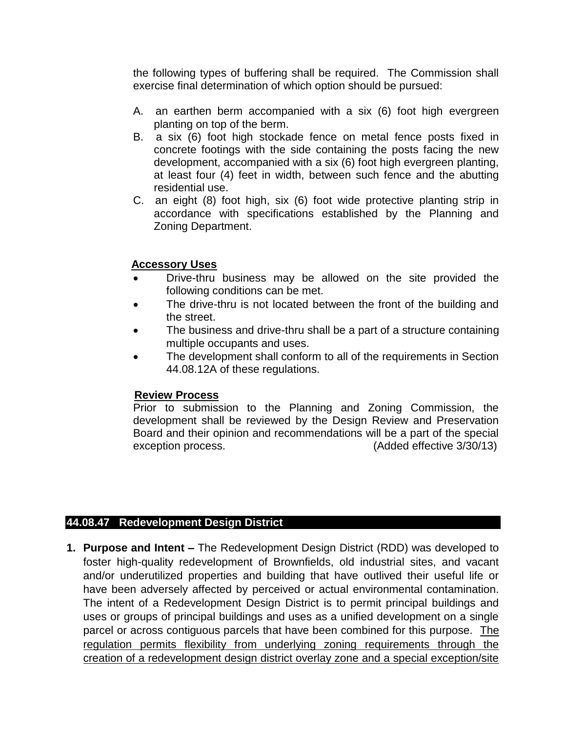the following types of buffering shall be required. The Commission shall exercise final determination of which option should be pursued:

- A. an earthen berm accompanied with a six (6) foot high evergreen planting on top of the berm.
- B. a six (6) foot high stockade fence on metal fence posts fixed in concrete footings with the side containing the posts facing the new development, accompanied with a six (6) foot high evergreen planting, at least four (4) feet in width, between such fence and the abutting residential use.
- C. an eight (8) foot high, six (6) foot wide protective planting strip in accordance with specifications established by the Planning and Zoning Department.

#### **Accessory Uses**

- Drive-thru business may be allowed on the site provided the following conditions can be met.
- The drive-thru is not located between the front of the building and the street.
- The business and drive-thru shall be a part of a structure containing multiple occupants and uses.
- The development shall conform to all of the requirements in Section 44.08.12A of these regulations.

#### **Review Process**

Prior to submission to the Planning and Zoning Commission, the development shall be reviewed by the Design Review and Preservation Board and their opinion and recommendations will be a part of the special exception process. (Added effective 3/30/13)

#### **44.08.47 Redevelopment Design District**

**1. Purpose and Intent –** The Redevelopment Design District (RDD) was developed to foster high-quality redevelopment of Brownfields, old industrial sites, and vacant and/or underutilized properties and building that have outlived their useful life or have been adversely affected by perceived or actual environmental contamination. The intent of a Redevelopment Design District is to permit principal buildings and uses or groups of principal buildings and uses as a unified development on a single parcel or across contiguous parcels that have been combined for this purpose. The regulation permits flexibility from underlying zoning requirements through the creation of a redevelopment design district overlay zone and a special exception/site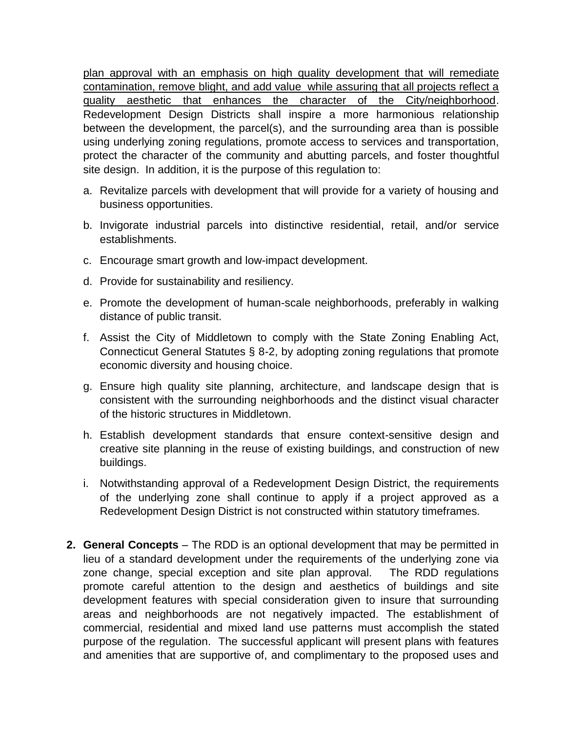plan approval with an emphasis on high quality development that will remediate contamination, remove blight, and add value while assuring that all projects reflect a quality aesthetic that enhances the character of the City/neighborhood. Redevelopment Design Districts shall inspire a more harmonious relationship between the development, the parcel(s), and the surrounding area than is possible using underlying zoning regulations, promote access to services and transportation, protect the character of the community and abutting parcels, and foster thoughtful site design. In addition, it is the purpose of this regulation to:

- a. Revitalize parcels with development that will provide for a variety of housing and business opportunities.
- b. Invigorate industrial parcels into distinctive residential, retail, and/or service establishments.
- c. Encourage smart growth and low-impact development.
- d. Provide for sustainability and resiliency.
- e. Promote the development of human-scale neighborhoods, preferably in walking distance of public transit.
- f. Assist the City of Middletown to comply with the State Zoning Enabling Act, Connecticut General Statutes § 8-2, by adopting zoning regulations that promote economic diversity and housing choice.
- g. Ensure high quality site planning, architecture, and landscape design that is consistent with the surrounding neighborhoods and the distinct visual character of the historic structures in Middletown.
- h. Establish development standards that ensure context-sensitive design and creative site planning in the reuse of existing buildings, and construction of new buildings.
- i. Notwithstanding approval of a Redevelopment Design District, the requirements of the underlying zone shall continue to apply if a project approved as a Redevelopment Design District is not constructed within statutory timeframes.
- **2. General Concepts** The RDD is an optional development that may be permitted in lieu of a standard development under the requirements of the underlying zone via zone change, special exception and site plan approval. The RDD regulations promote careful attention to the design and aesthetics of buildings and site development features with special consideration given to insure that surrounding areas and neighborhoods are not negatively impacted. The establishment of commercial, residential and mixed land use patterns must accomplish the stated purpose of the regulation. The successful applicant will present plans with features and amenities that are supportive of, and complimentary to the proposed uses and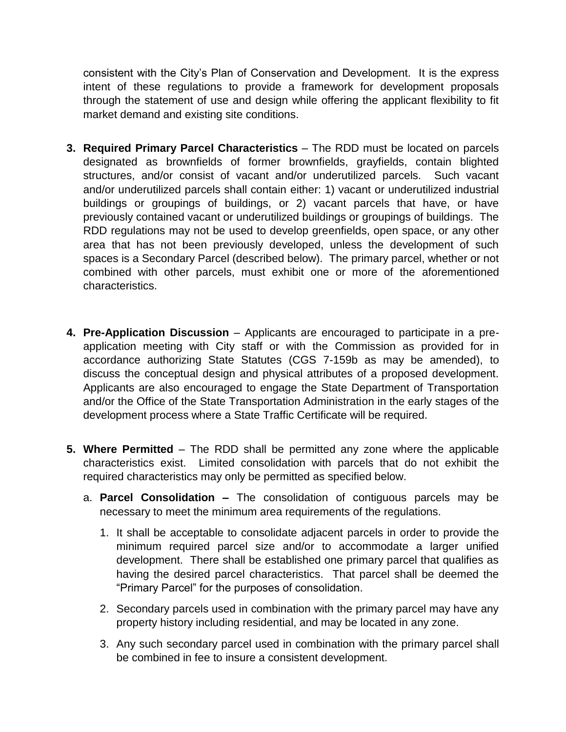consistent with the City's Plan of Conservation and Development. It is the express intent of these regulations to provide a framework for development proposals through the statement of use and design while offering the applicant flexibility to fit market demand and existing site conditions.

- **3. Required Primary Parcel Characteristics** The RDD must be located on parcels designated as brownfields of former brownfields, grayfields, contain blighted structures, and/or consist of vacant and/or underutilized parcels. Such vacant and/or underutilized parcels shall contain either: 1) vacant or underutilized industrial buildings or groupings of buildings, or 2) vacant parcels that have, or have previously contained vacant or underutilized buildings or groupings of buildings. The RDD regulations may not be used to develop greenfields, open space, or any other area that has not been previously developed, unless the development of such spaces is a Secondary Parcel (described below). The primary parcel, whether or not combined with other parcels, must exhibit one or more of the aforementioned characteristics.
- **4. Pre-Application Discussion** Applicants are encouraged to participate in a preapplication meeting with City staff or with the Commission as provided for in accordance authorizing State Statutes (CGS 7-159b as may be amended), to discuss the conceptual design and physical attributes of a proposed development. Applicants are also encouraged to engage the State Department of Transportation and/or the Office of the State Transportation Administration in the early stages of the development process where a State Traffic Certificate will be required.
- **5. Where Permitted** The RDD shall be permitted any zone where the applicable characteristics exist. Limited consolidation with parcels that do not exhibit the required characteristics may only be permitted as specified below.
	- a. **Parcel Consolidation –** The consolidation of contiguous parcels may be necessary to meet the minimum area requirements of the regulations.
		- 1. It shall be acceptable to consolidate adjacent parcels in order to provide the minimum required parcel size and/or to accommodate a larger unified development. There shall be established one primary parcel that qualifies as having the desired parcel characteristics. That parcel shall be deemed the "Primary Parcel" for the purposes of consolidation.
		- 2. Secondary parcels used in combination with the primary parcel may have any property history including residential, and may be located in any zone.
		- 3. Any such secondary parcel used in combination with the primary parcel shall be combined in fee to insure a consistent development.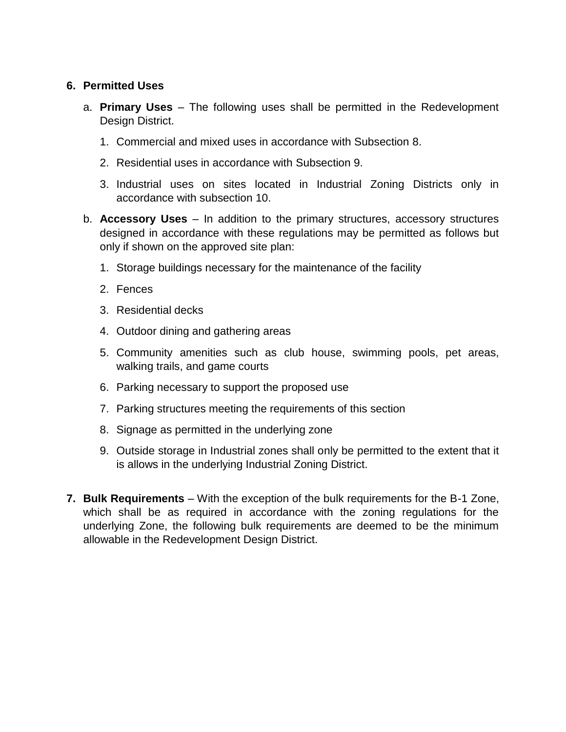#### **6. Permitted Uses**

- a. **Primary Uses** The following uses shall be permitted in the Redevelopment Design District.
	- 1. Commercial and mixed uses in accordance with Subsection 8.
	- 2. Residential uses in accordance with Subsection 9.
	- 3. Industrial uses on sites located in Industrial Zoning Districts only in accordance with subsection 10.
- b. **Accessory Uses**  In addition to the primary structures, accessory structures designed in accordance with these regulations may be permitted as follows but only if shown on the approved site plan:
	- 1. Storage buildings necessary for the maintenance of the facility
	- 2. Fences
	- 3. Residential decks
	- 4. Outdoor dining and gathering areas
	- 5. Community amenities such as club house, swimming pools, pet areas, walking trails, and game courts
	- 6. Parking necessary to support the proposed use
	- 7. Parking structures meeting the requirements of this section
	- 8. Signage as permitted in the underlying zone
	- 9. Outside storage in Industrial zones shall only be permitted to the extent that it is allows in the underlying Industrial Zoning District.
- **7. Bulk Requirements** With the exception of the bulk requirements for the B-1 Zone, which shall be as required in accordance with the zoning regulations for the underlying Zone, the following bulk requirements are deemed to be the minimum allowable in the Redevelopment Design District.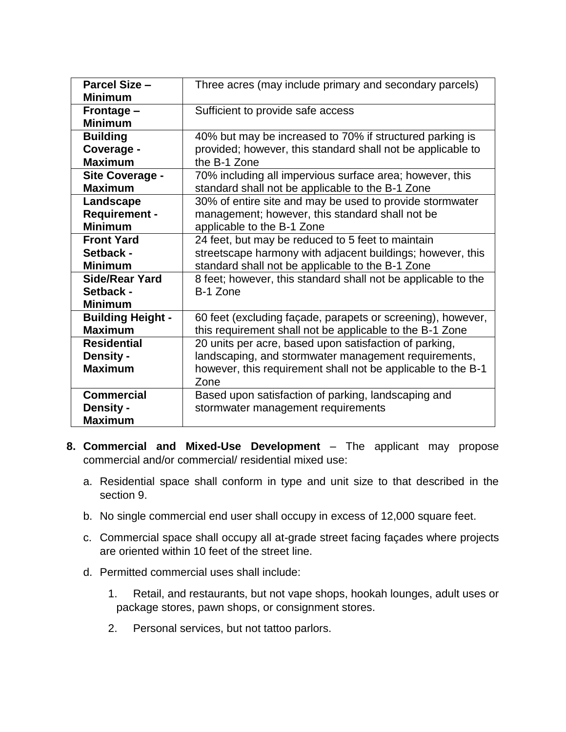| <b>Parcel Size -</b><br><b>Minimum</b>                   | Three acres (may include primary and secondary parcels)                                                                                                                                |
|----------------------------------------------------------|----------------------------------------------------------------------------------------------------------------------------------------------------------------------------------------|
| Frontage -<br><b>Minimum</b>                             | Sufficient to provide safe access                                                                                                                                                      |
| <b>Building</b>                                          | 40% but may be increased to 70% if structured parking is                                                                                                                               |
| Coverage -                                               | provided; however, this standard shall not be applicable to                                                                                                                            |
| <b>Maximum</b>                                           | the B-1 Zone                                                                                                                                                                           |
| Site Coverage -                                          | 70% including all impervious surface area; however, this                                                                                                                               |
| <b>Maximum</b>                                           | standard shall not be applicable to the B-1 Zone                                                                                                                                       |
| Landscape                                                | 30% of entire site and may be used to provide stormwater                                                                                                                               |
| <b>Requirement -</b>                                     | management; however, this standard shall not be                                                                                                                                        |
| <b>Minimum</b>                                           | applicable to the B-1 Zone                                                                                                                                                             |
| <b>Front Yard</b>                                        | 24 feet, but may be reduced to 5 feet to maintain                                                                                                                                      |
| Setback -                                                | streetscape harmony with adjacent buildings; however, this                                                                                                                             |
| <b>Minimum</b>                                           | standard shall not be applicable to the B-1 Zone                                                                                                                                       |
| <b>Side/Rear Yard</b><br>Setback -<br><b>Minimum</b>     | 8 feet; however, this standard shall not be applicable to the<br>B-1 Zone                                                                                                              |
| <b>Building Height -</b>                                 | 60 feet (excluding façade, parapets or screening), however,                                                                                                                            |
| <b>Maximum</b>                                           | this requirement shall not be applicable to the B-1 Zone                                                                                                                               |
| <b>Residential</b><br><b>Density -</b><br><b>Maximum</b> | 20 units per acre, based upon satisfaction of parking,<br>landscaping, and stormwater management requirements,<br>however, this requirement shall not be applicable to the B-1<br>Zone |
| <b>Commercial</b><br><b>Density -</b><br><b>Maximum</b>  | Based upon satisfaction of parking, landscaping and<br>stormwater management requirements                                                                                              |

- **8. Commercial and Mixed-Use Development** The applicant may propose commercial and/or commercial/ residential mixed use:
	- a. Residential space shall conform in type and unit size to that described in the section 9.
	- b. No single commercial end user shall occupy in excess of 12,000 square feet.
	- c. Commercial space shall occupy all at-grade street facing façades where projects are oriented within 10 feet of the street line.
	- d. Permitted commercial uses shall include:
		- 1. Retail, and restaurants, but not vape shops, hookah lounges, adult uses or package stores, pawn shops, or consignment stores.
		- 2. Personal services, but not tattoo parlors.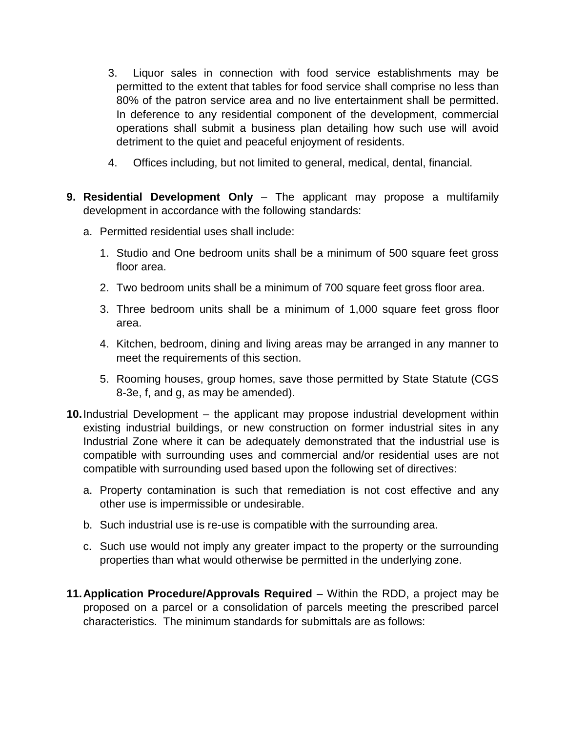- 3. Liquor sales in connection with food service establishments may be permitted to the extent that tables for food service shall comprise no less than 80% of the patron service area and no live entertainment shall be permitted. In deference to any residential component of the development, commercial operations shall submit a business plan detailing how such use will avoid detriment to the quiet and peaceful enjoyment of residents.
- 4. Offices including, but not limited to general, medical, dental, financial.
- **9. Residential Development Only**  The applicant may propose a multifamily development in accordance with the following standards:
	- a. Permitted residential uses shall include:
		- 1. Studio and One bedroom units shall be a minimum of 500 square feet gross floor area.
		- 2. Two bedroom units shall be a minimum of 700 square feet gross floor area.
		- 3. Three bedroom units shall be a minimum of 1,000 square feet gross floor area.
		- 4. Kitchen, bedroom, dining and living areas may be arranged in any manner to meet the requirements of this section.
		- 5. Rooming houses, group homes, save those permitted by State Statute (CGS 8-3e, f, and g, as may be amended).
- **10.**Industrial Development the applicant may propose industrial development within existing industrial buildings, or new construction on former industrial sites in any Industrial Zone where it can be adequately demonstrated that the industrial use is compatible with surrounding uses and commercial and/or residential uses are not compatible with surrounding used based upon the following set of directives:
	- a. Property contamination is such that remediation is not cost effective and any other use is impermissible or undesirable.
	- b. Such industrial use is re-use is compatible with the surrounding area.
	- c. Such use would not imply any greater impact to the property or the surrounding properties than what would otherwise be permitted in the underlying zone.
- **11.Application Procedure/Approvals Required** Within the RDD, a project may be proposed on a parcel or a consolidation of parcels meeting the prescribed parcel characteristics. The minimum standards for submittals are as follows: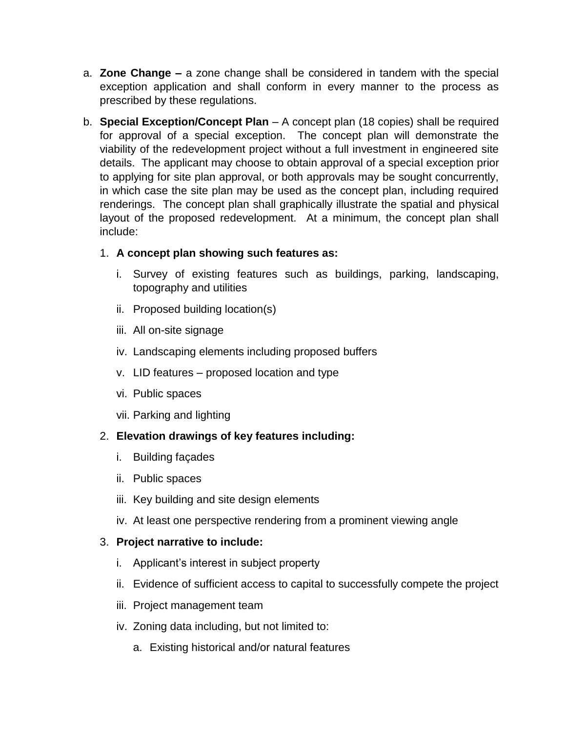- a. **Zone Change –** a zone change shall be considered in tandem with the special exception application and shall conform in every manner to the process as prescribed by these regulations.
- b. **Special Exception/Concept Plan**  A concept plan (18 copies) shall be required for approval of a special exception. The concept plan will demonstrate the viability of the redevelopment project without a full investment in engineered site details. The applicant may choose to obtain approval of a special exception prior to applying for site plan approval, or both approvals may be sought concurrently, in which case the site plan may be used as the concept plan, including required renderings. The concept plan shall graphically illustrate the spatial and physical layout of the proposed redevelopment. At a minimum, the concept plan shall include:

## 1. **A concept plan showing such features as:**

- i. Survey of existing features such as buildings, parking, landscaping, topography and utilities
- ii. Proposed building location(s)
- iii. All on-site signage
- iv. Landscaping elements including proposed buffers
- v. LID features proposed location and type
- vi. Public spaces
- vii. Parking and lighting

## 2. **Elevation drawings of key features including:**

- i. Building façades
- ii. Public spaces
- iii. Key building and site design elements
- iv. At least one perspective rendering from a prominent viewing angle

## 3. **Project narrative to include:**

- i. Applicant's interest in subject property
- ii. Evidence of sufficient access to capital to successfully compete the project
- iii. Project management team
- iv. Zoning data including, but not limited to:
	- a. Existing historical and/or natural features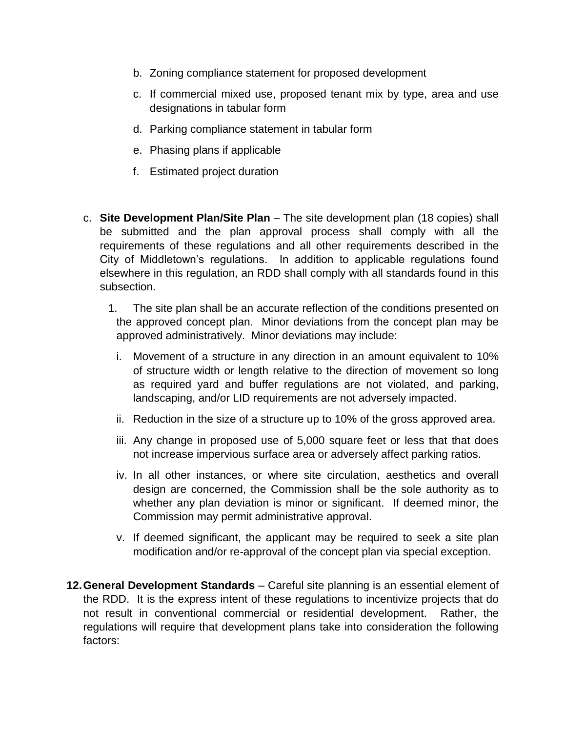- b. Zoning compliance statement for proposed development
- c. If commercial mixed use, proposed tenant mix by type, area and use designations in tabular form
- d. Parking compliance statement in tabular form
- e. Phasing plans if applicable
- f. Estimated project duration
- c. **Site Development Plan/Site Plan**  The site development plan (18 copies) shall be submitted and the plan approval process shall comply with all the requirements of these regulations and all other requirements described in the City of Middletown's regulations. In addition to applicable regulations found elsewhere in this regulation, an RDD shall comply with all standards found in this subsection.
	- 1. The site plan shall be an accurate reflection of the conditions presented on the approved concept plan. Minor deviations from the concept plan may be approved administratively. Minor deviations may include:
		- i. Movement of a structure in any direction in an amount equivalent to 10% of structure width or length relative to the direction of movement so long as required yard and buffer regulations are not violated, and parking, landscaping, and/or LID requirements are not adversely impacted.
		- ii. Reduction in the size of a structure up to 10% of the gross approved area.
		- iii. Any change in proposed use of 5,000 square feet or less that that does not increase impervious surface area or adversely affect parking ratios.
		- iv. In all other instances, or where site circulation, aesthetics and overall design are concerned, the Commission shall be the sole authority as to whether any plan deviation is minor or significant. If deemed minor, the Commission may permit administrative approval.
		- v. If deemed significant, the applicant may be required to seek a site plan modification and/or re-approval of the concept plan via special exception.
- **12.General Development Standards** Careful site planning is an essential element of the RDD. It is the express intent of these regulations to incentivize projects that do not result in conventional commercial or residential development. Rather, the regulations will require that development plans take into consideration the following factors: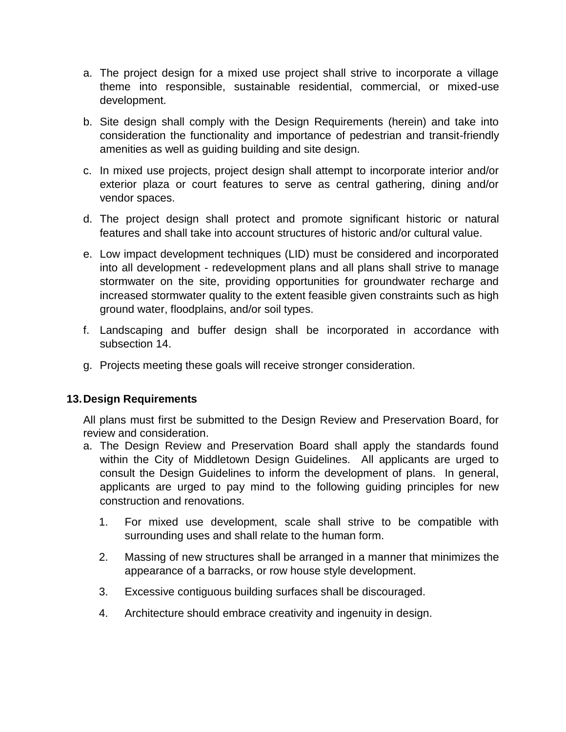- a. The project design for a mixed use project shall strive to incorporate a village theme into responsible, sustainable residential, commercial, or mixed-use development.
- b. Site design shall comply with the Design Requirements (herein) and take into consideration the functionality and importance of pedestrian and transit-friendly amenities as well as guiding building and site design.
- c. In mixed use projects, project design shall attempt to incorporate interior and/or exterior plaza or court features to serve as central gathering, dining and/or vendor spaces.
- d. The project design shall protect and promote significant historic or natural features and shall take into account structures of historic and/or cultural value.
- e. Low impact development techniques (LID) must be considered and incorporated into all development - redevelopment plans and all plans shall strive to manage stormwater on the site, providing opportunities for groundwater recharge and increased stormwater quality to the extent feasible given constraints such as high ground water, floodplains, and/or soil types.
- f. Landscaping and buffer design shall be incorporated in accordance with subsection 14.
- g. Projects meeting these goals will receive stronger consideration.

#### **13.Design Requirements**

All plans must first be submitted to the Design Review and Preservation Board, for review and consideration.

- a. The Design Review and Preservation Board shall apply the standards found within the City of Middletown Design Guidelines. All applicants are urged to consult the Design Guidelines to inform the development of plans. In general, applicants are urged to pay mind to the following guiding principles for new construction and renovations.
	- 1. For mixed use development, scale shall strive to be compatible with surrounding uses and shall relate to the human form.
	- 2. Massing of new structures shall be arranged in a manner that minimizes the appearance of a barracks, or row house style development.
	- 3. Excessive contiguous building surfaces shall be discouraged.
	- 4. Architecture should embrace creativity and ingenuity in design.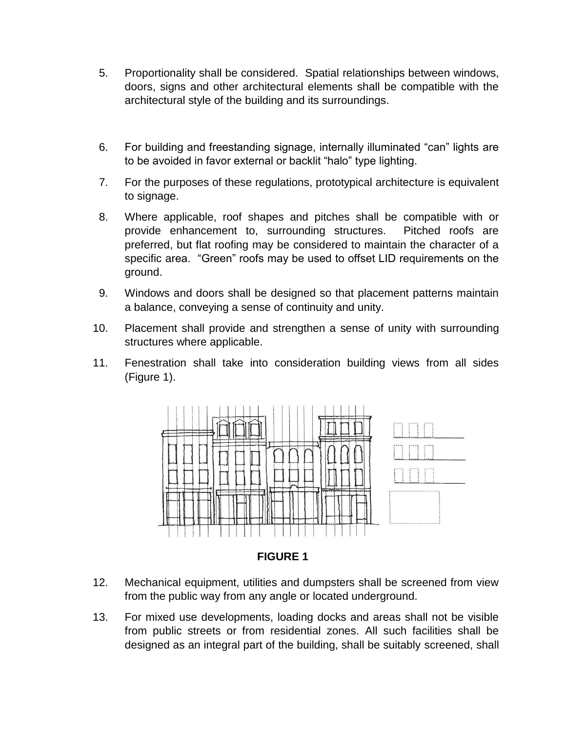- 5. Proportionality shall be considered. Spatial relationships between windows, doors, signs and other architectural elements shall be compatible with the architectural style of the building and its surroundings.
- 6. For building and freestanding signage, internally illuminated "can" lights are to be avoided in favor external or backlit "halo" type lighting.
- 7. For the purposes of these regulations, prototypical architecture is equivalent to signage.
- 8. Where applicable, roof shapes and pitches shall be compatible with or provide enhancement to, surrounding structures. Pitched roofs are preferred, but flat roofing may be considered to maintain the character of a specific area. "Green" roofs may be used to offset LID requirements on the ground.
- 9. Windows and doors shall be designed so that placement patterns maintain a balance, conveying a sense of continuity and unity.
- 10. Placement shall provide and strengthen a sense of unity with surrounding structures where applicable.
- 11. Fenestration shall take into consideration building views from all sides (Figure 1).



**FIGURE 1**

- 12. Mechanical equipment, utilities and dumpsters shall be screened from view from the public way from any angle or located underground.
- 13. For mixed use developments, loading docks and areas shall not be visible from public streets or from residential zones. All such facilities shall be designed as an integral part of the building, shall be suitably screened, shall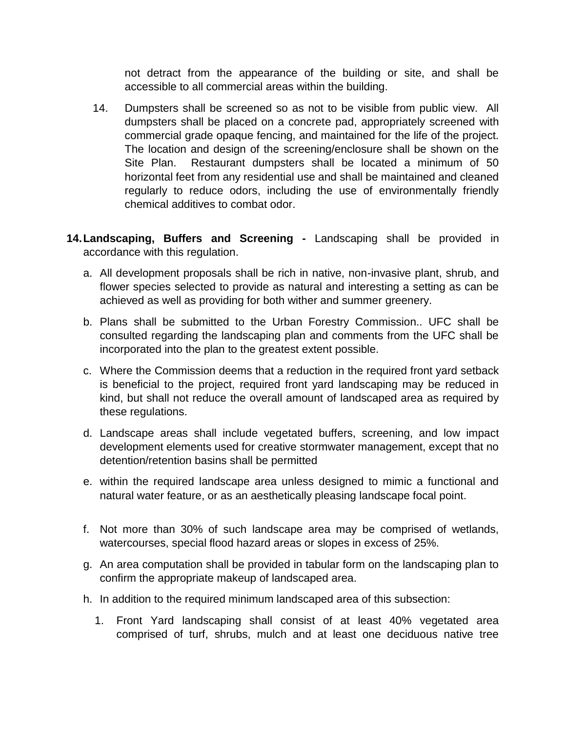not detract from the appearance of the building or site, and shall be accessible to all commercial areas within the building.

- 14. Dumpsters shall be screened so as not to be visible from public view. All dumpsters shall be placed on a concrete pad, appropriately screened with commercial grade opaque fencing, and maintained for the life of the project. The location and design of the screening/enclosure shall be shown on the Site Plan. Restaurant dumpsters shall be located a minimum of 50 horizontal feet from any residential use and shall be maintained and cleaned regularly to reduce odors, including the use of environmentally friendly chemical additives to combat odor.
- **14.Landscaping, Buffers and Screening -** Landscaping shall be provided in accordance with this regulation.
	- a. All development proposals shall be rich in native, non-invasive plant, shrub, and flower species selected to provide as natural and interesting a setting as can be achieved as well as providing for both wither and summer greenery.
	- b. Plans shall be submitted to the Urban Forestry Commission.. UFC shall be consulted regarding the landscaping plan and comments from the UFC shall be incorporated into the plan to the greatest extent possible.
	- c. Where the Commission deems that a reduction in the required front yard setback is beneficial to the project, required front yard landscaping may be reduced in kind, but shall not reduce the overall amount of landscaped area as required by these regulations.
	- d. Landscape areas shall include vegetated buffers, screening, and low impact development elements used for creative stormwater management, except that no detention/retention basins shall be permitted
	- e. within the required landscape area unless designed to mimic a functional and natural water feature, or as an aesthetically pleasing landscape focal point.
	- f. Not more than 30% of such landscape area may be comprised of wetlands, watercourses, special flood hazard areas or slopes in excess of 25%.
	- g. An area computation shall be provided in tabular form on the landscaping plan to confirm the appropriate makeup of landscaped area.
	- h. In addition to the required minimum landscaped area of this subsection:
		- 1. Front Yard landscaping shall consist of at least 40% vegetated area comprised of turf, shrubs, mulch and at least one deciduous native tree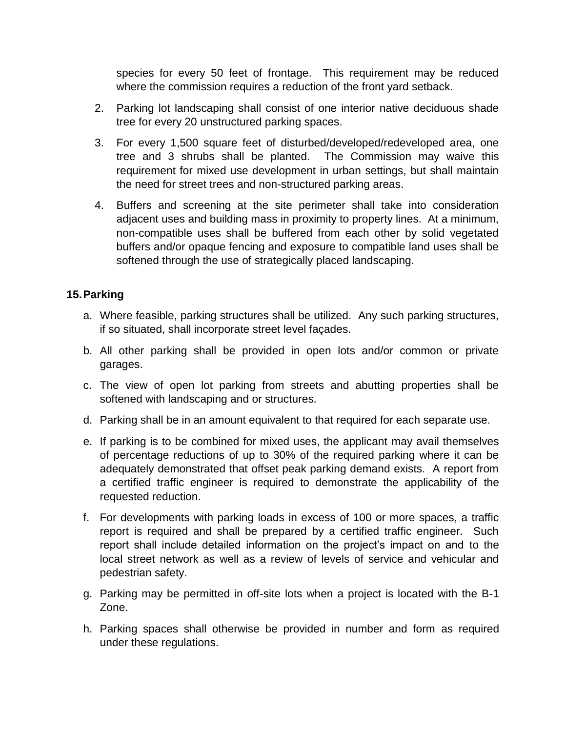species for every 50 feet of frontage. This requirement may be reduced where the commission requires a reduction of the front yard setback.

- 2. Parking lot landscaping shall consist of one interior native deciduous shade tree for every 20 unstructured parking spaces.
- 3. For every 1,500 square feet of disturbed/developed/redeveloped area, one tree and 3 shrubs shall be planted. The Commission may waive this requirement for mixed use development in urban settings, but shall maintain the need for street trees and non-structured parking areas.
- 4. Buffers and screening at the site perimeter shall take into consideration adjacent uses and building mass in proximity to property lines. At a minimum, non-compatible uses shall be buffered from each other by solid vegetated buffers and/or opaque fencing and exposure to compatible land uses shall be softened through the use of strategically placed landscaping.

## **15.Parking**

- a. Where feasible, parking structures shall be utilized. Any such parking structures, if so situated, shall incorporate street level façades.
- b. All other parking shall be provided in open lots and/or common or private garages.
- c. The view of open lot parking from streets and abutting properties shall be softened with landscaping and or structures.
- d. Parking shall be in an amount equivalent to that required for each separate use.
- e. If parking is to be combined for mixed uses, the applicant may avail themselves of percentage reductions of up to 30% of the required parking where it can be adequately demonstrated that offset peak parking demand exists. A report from a certified traffic engineer is required to demonstrate the applicability of the requested reduction.
- f. For developments with parking loads in excess of 100 or more spaces, a traffic report is required and shall be prepared by a certified traffic engineer. Such report shall include detailed information on the project's impact on and to the local street network as well as a review of levels of service and vehicular and pedestrian safety.
- g. Parking may be permitted in off-site lots when a project is located with the B-1 Zone.
- h. Parking spaces shall otherwise be provided in number and form as required under these regulations.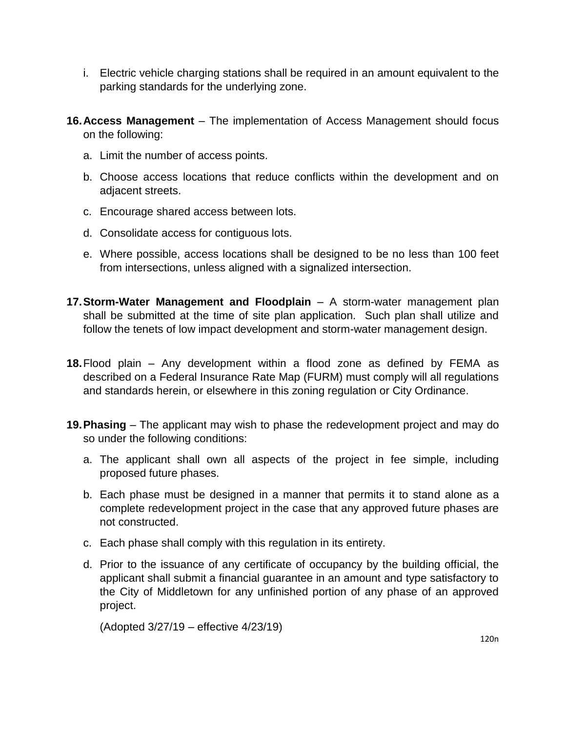- i. Electric vehicle charging stations shall be required in an amount equivalent to the parking standards for the underlying zone.
- **16.Access Management**  The implementation of Access Management should focus on the following:
	- a. Limit the number of access points.
	- b. Choose access locations that reduce conflicts within the development and on adjacent streets.
	- c. Encourage shared access between lots.
	- d. Consolidate access for contiguous lots.
	- e. Where possible, access locations shall be designed to be no less than 100 feet from intersections, unless aligned with a signalized intersection.
- **17.Storm-Water Management and Floodplain**  A storm-water management plan shall be submitted at the time of site plan application. Such plan shall utilize and follow the tenets of low impact development and storm-water management design.
- **18.**Flood plain Any development within a flood zone as defined by FEMA as described on a Federal Insurance Rate Map (FURM) must comply will all regulations and standards herein, or elsewhere in this zoning regulation or City Ordinance.
- **19.Phasing**  The applicant may wish to phase the redevelopment project and may do so under the following conditions:
	- a. The applicant shall own all aspects of the project in fee simple, including proposed future phases.
	- b. Each phase must be designed in a manner that permits it to stand alone as a complete redevelopment project in the case that any approved future phases are not constructed.
	- c. Each phase shall comply with this regulation in its entirety.
	- d. Prior to the issuance of any certificate of occupancy by the building official, the applicant shall submit a financial guarantee in an amount and type satisfactory to the City of Middletown for any unfinished portion of any phase of an approved project.

(Adopted 3/27/19 – effective 4/23/19)